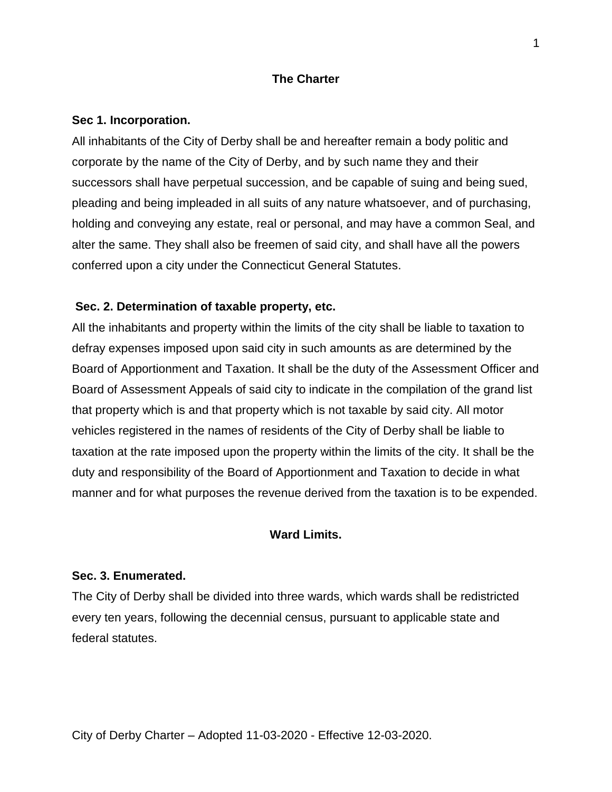## **The Charter**

### **Sec 1. Incorporation.**

All inhabitants of the City of Derby shall be and hereafter remain a body politic and corporate by the name of the City of Derby, and by such name they and their successors shall have perpetual succession, and be capable of suing and being sued, pleading and being impleaded in all suits of any nature whatsoever, and of purchasing, holding and conveying any estate, real or personal, and may have a common Seal, and alter the same. They shall also be freemen of said city, and shall have all the powers conferred upon a city under the Connecticut General Statutes.

## **Sec. 2. Determination of taxable property, etc.**

All the inhabitants and property within the limits of the city shall be liable to taxation to defray expenses imposed upon said city in such amounts as are determined by the Board of Apportionment and Taxation. It shall be the duty of the Assessment Officer and Board of Assessment Appeals of said city to indicate in the compilation of the grand list that property which is and that property which is not taxable by said city. All motor vehicles registered in the names of residents of the City of Derby shall be liable to taxation at the rate imposed upon the property within the limits of the city. It shall be the duty and responsibility of the Board of Apportionment and Taxation to decide in what manner and for what purposes the revenue derived from the taxation is to be expended.

## **Ward Limits.**

### **Sec. 3. Enumerated.**

The City of Derby shall be divided into three wards, which wards shall be redistricted every ten years, following the decennial census, pursuant to applicable state and federal statutes.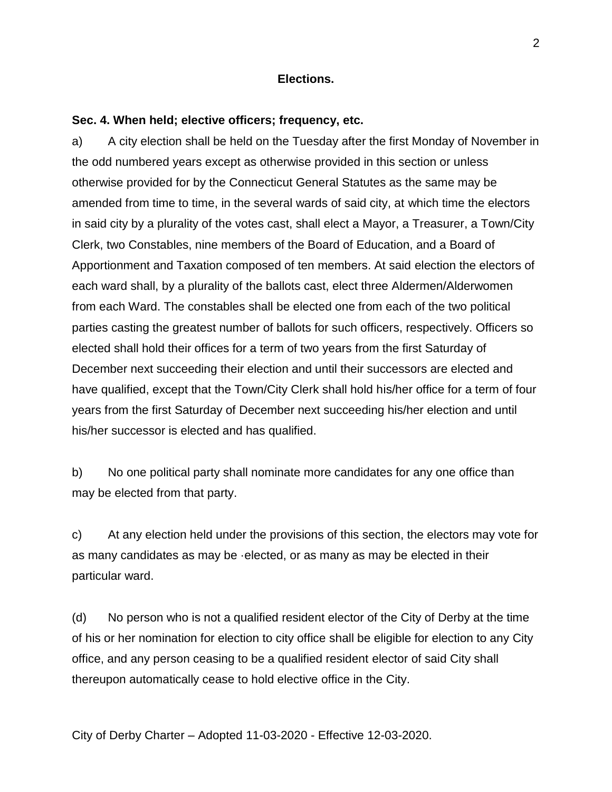## **Elections.**

## **Sec. 4. When held; elective officers; frequency, etc.**

a) A city election shall be held on the Tuesday after the first Monday of November in the odd numbered years except as otherwise provided in this section or unless otherwise provided for by the Connecticut General Statutes as the same may be amended from time to time, in the several wards of said city, at which time the electors in said city by a plurality of the votes cast, shall elect a Mayor, a Treasurer, a Town/City Clerk, two Constables, nine members of the Board of Education, and a Board of Apportionment and Taxation composed of ten members. At said election the electors of each ward shall, by a plurality of the ballots cast, elect three Aldermen/Alderwomen from each Ward. The constables shall be elected one from each of the two political parties casting the greatest number of ballots for such officers, respectively. Officers so elected shall hold their offices for a term of two years from the first Saturday of December next succeeding their election and until their successors are elected and have qualified, except that the Town/City Clerk shall hold his/her office for a term of four years from the first Saturday of December next succeeding his/her election and until his/her successor is elected and has qualified.

b) No one political party shall nominate more candidates for any one office than may be elected from that party.

c) At any election held under the provisions of this section, the electors may vote for as many candidates as may be ·elected, or as many as may be elected in their particular ward.

(d) No person who is not a qualified resident elector of the City of Derby at the time of his or her nomination for election to city office shall be eligible for election to any City office, and any person ceasing to be a qualified resident elector of said City shall thereupon automatically cease to hold elective office in the City.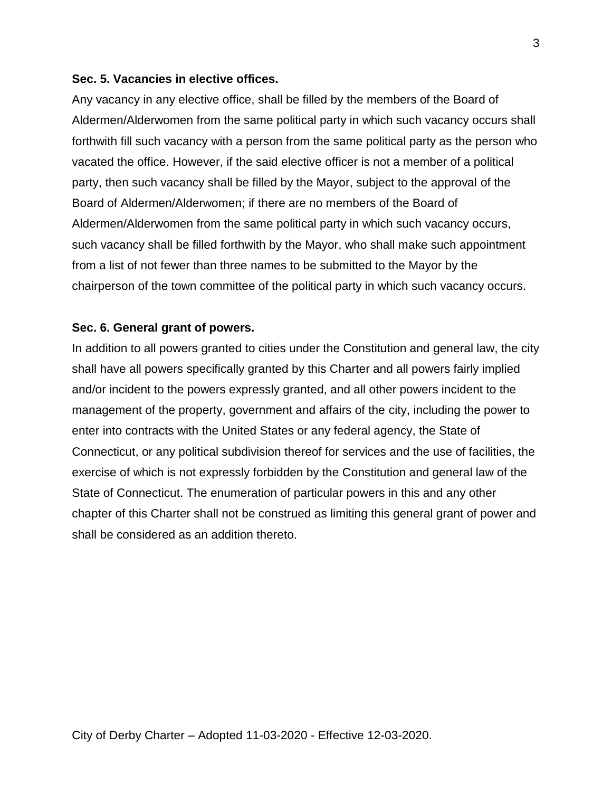### **Sec. 5. Vacancies in elective offices.**

Any vacancy in any elective office, shall be filled by the members of the Board of Aldermen/Alderwomen from the same political party in which such vacancy occurs shall forthwith fill such vacancy with a person from the same political party as the person who vacated the office. However, if the said elective officer is not a member of a political party, then such vacancy shall be filled by the Mayor, subject to the approval of the Board of Aldermen/Alderwomen; if there are no members of the Board of Aldermen/Alderwomen from the same political party in which such vacancy occurs, such vacancy shall be filled forthwith by the Mayor, who shall make such appointment from a list of not fewer than three names to be submitted to the Mayor by the chairperson of the town committee of the political party in which such vacancy occurs.

## **Sec. 6. General grant of powers.**

In addition to all powers granted to cities under the Constitution and general law, the city shall have all powers specifically granted by this Charter and all powers fairly implied and/or incident to the powers expressly granted, and all other powers incident to the management of the property, government and affairs of the city, including the power to enter into contracts with the United States or any federal agency, the State of Connecticut, or any political subdivision thereof for services and the use of facilities, the exercise of which is not expressly forbidden by the Constitution and general law of the State of Connecticut. The enumeration of particular powers in this and any other chapter of this Charter shall not be construed as limiting this general grant of power and shall be considered as an addition thereto.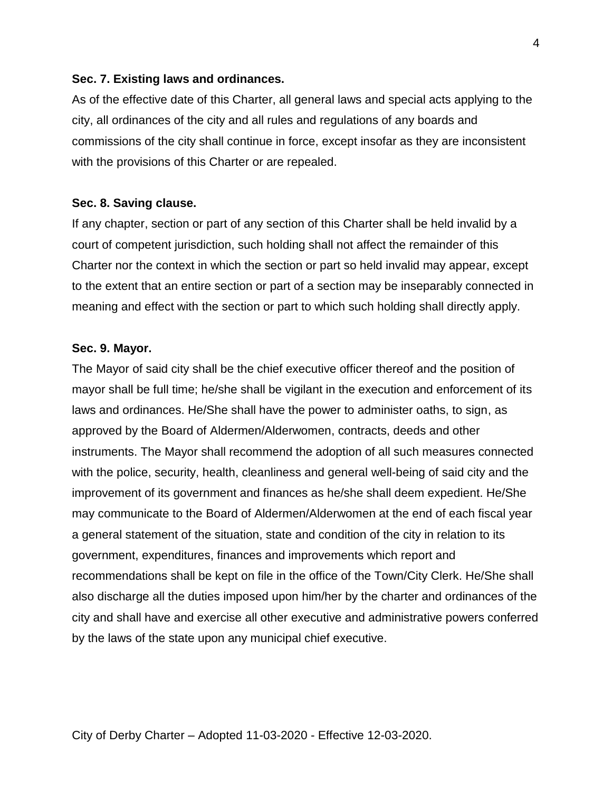### **Sec. 7. Existing laws and ordinances.**

As of the effective date of this Charter, all general laws and special acts applying to the city, all ordinances of the city and all rules and regulations of any boards and commissions of the city shall continue in force, except insofar as they are inconsistent with the provisions of this Charter or are repealed.

### **Sec. 8. Saving clause.**

If any chapter, section or part of any section of this Charter shall be held invalid by a court of competent jurisdiction, such holding shall not affect the remainder of this Charter nor the context in which the section or part so held invalid may appear, except to the extent that an entire section or part of a section may be inseparably connected in meaning and effect with the section or part to which such holding shall directly apply.

### **Sec. 9. Mayor.**

The Mayor of said city shall be the chief executive officer thereof and the position of mayor shall be full time; he/she shall be vigilant in the execution and enforcement of its laws and ordinances. He/She shall have the power to administer oaths, to sign, as approved by the Board of Aldermen/Alderwomen, contracts, deeds and other instruments. The Mayor shall recommend the adoption of all such measures connected with the police, security, health, cleanliness and general well-being of said city and the improvement of its government and finances as he/she shall deem expedient. He/She may communicate to the Board of Aldermen/Alderwomen at the end of each fiscal year a general statement of the situation, state and condition of the city in relation to its government, expenditures, finances and improvements which report and recommendations shall be kept on file in the office of the Town/City Clerk. He/She shall also discharge all the duties imposed upon him/her by the charter and ordinances of the city and shall have and exercise all other executive and administrative powers conferred by the laws of the state upon any municipal chief executive.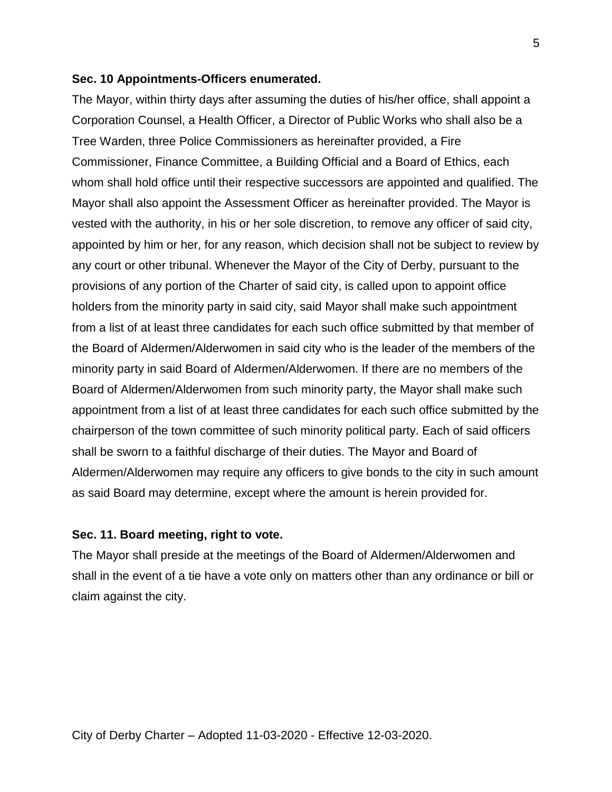### **Sec. 10 Appointments-Officers enumerated.**

The Mayor, within thirty days after assuming the duties of his/her office, shall appoint a Corporation Counsel, a Health Officer, a Director of Public Works who shall also be a Tree Warden, three Police Commissioners as hereinafter provided, a Fire Commissioner, Finance Committee, a Building Official and a Board of Ethics, each whom shall hold office until their respective successors are appointed and qualified. The Mayor shall also appoint the Assessment Officer as hereinafter provided. The Mayor is vested with the authority, in his or her sole discretion, to remove any officer of said city, appointed by him or her, for any reason, which decision shall not be subject to review by any court or other tribunal. Whenever the Mayor of the City of Derby, pursuant to the provisions of any portion of the Charter of said city, is called upon to appoint office holders from the minority party in said city, said Mayor shall make such appointment from a list of at least three candidates for each such office submitted by that member of the Board of Aldermen/Alderwomen in said city who is the leader of the members of the minority party in said Board of Aldermen/Alderwomen. If there are no members of the Board of Aldermen/Alderwomen from such minority party, the Mayor shall make such appointment from a list of at least three candidates for each such office submitted by the chairperson of the town committee of such minority political party. Each of said officers shall be sworn to a faithful discharge of their duties. The Mayor and Board of Aldermen/Alderwomen may require any officers to give bonds to the city in such amount as said Board may determine, except where the amount is herein provided for.

### **Sec. 11. Board meeting, right to vote.**

The Mayor shall preside at the meetings of the Board of Aldermen/Alderwomen and shall in the event of a tie have a vote only on matters other than any ordinance or bill or claim against the city.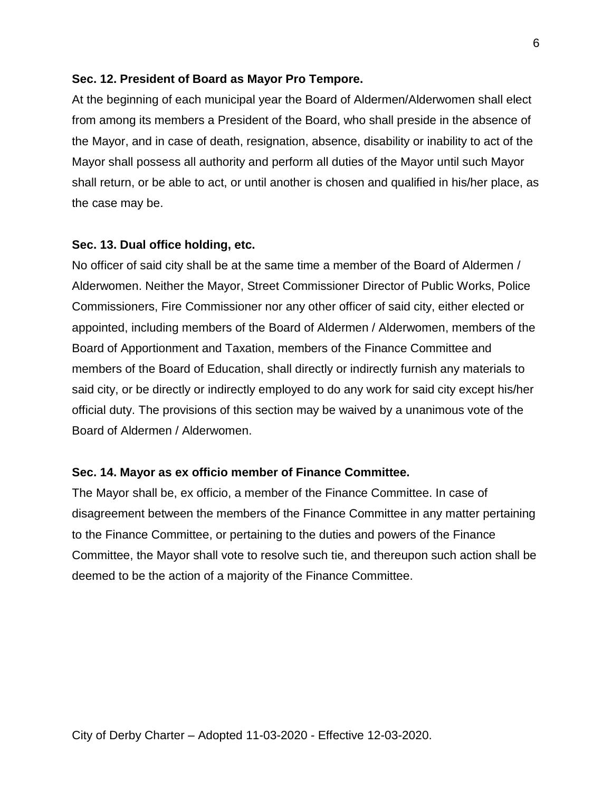### **Sec. 12. President of Board as Mayor Pro Tempore.**

At the beginning of each municipal year the Board of Aldermen/Alderwomen shall elect from among its members a President of the Board, who shall preside in the absence of the Mayor, and in case of death, resignation, absence, disability or inability to act of the Mayor shall possess all authority and perform all duties of the Mayor until such Mayor shall return, or be able to act, or until another is chosen and qualified in his/her place, as the case may be.

### **Sec. 13. Dual office holding, etc.**

No officer of said city shall be at the same time a member of the Board of Aldermen / Alderwomen. Neither the Mayor, Street Commissioner Director of Public Works, Police Commissioners, Fire Commissioner nor any other officer of said city, either elected or appointed, including members of the Board of Aldermen / Alderwomen, members of the Board of Apportionment and Taxation, members of the Finance Committee and members of the Board of Education, shall directly or indirectly furnish any materials to said city, or be directly or indirectly employed to do any work for said city except his/her official duty. The provisions of this section may be waived by a unanimous vote of the Board of Aldermen / Alderwomen.

### **Sec. 14. Mayor as ex officio member of Finance Committee.**

The Mayor shall be, ex officio, a member of the Finance Committee. In case of disagreement between the members of the Finance Committee in any matter pertaining to the Finance Committee, or pertaining to the duties and powers of the Finance Committee, the Mayor shall vote to resolve such tie, and thereupon such action shall be deemed to be the action of a majority of the Finance Committee.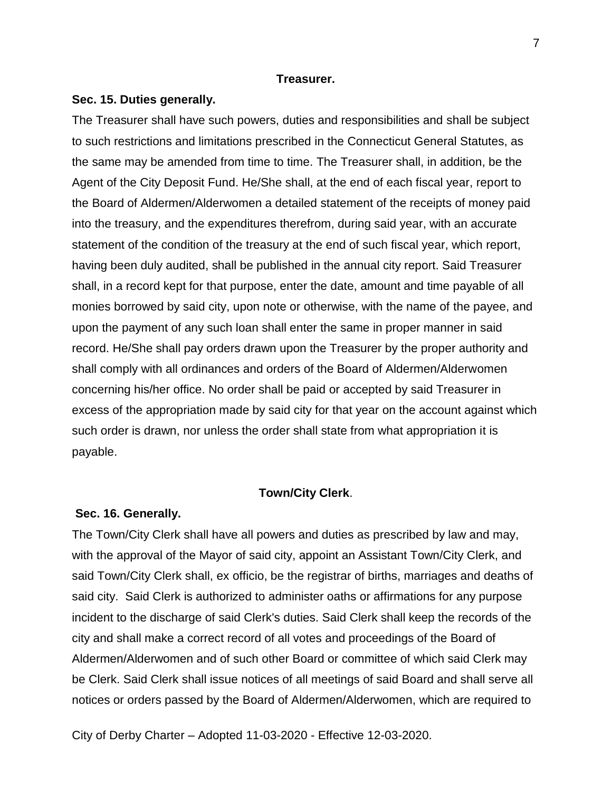### **Treasurer.**

#### **Sec. 15. Duties generally.**

The Treasurer shall have such powers, duties and responsibilities and shall be subject to such restrictions and limitations prescribed in the Connecticut General Statutes, as the same may be amended from time to time. The Treasurer shall, in addition, be the Agent of the City Deposit Fund. He/She shall, at the end of each fiscal year, report to the Board of Aldermen/Alderwomen a detailed statement of the receipts of money paid into the treasury, and the expenditures therefrom, during said year, with an accurate statement of the condition of the treasury at the end of such fiscal year, which report, having been duly audited, shall be published in the annual city report. Said Treasurer shall, in a record kept for that purpose, enter the date, amount and time payable of all monies borrowed by said city, upon note or otherwise, with the name of the payee, and upon the payment of any such loan shall enter the same in proper manner in said record. He/She shall pay orders drawn upon the Treasurer by the proper authority and shall comply with all ordinances and orders of the Board of Aldermen/Alderwomen concerning his/her office. No order shall be paid or accepted by said Treasurer in excess of the appropriation made by said city for that year on the account against which such order is drawn, nor unless the order shall state from what appropriation it is payable.

### **Town/City Clerk**.

### **Sec. 16. Generally.**

The Town/City Clerk shall have all powers and duties as prescribed by law and may, with the approval of the Mayor of said city, appoint an Assistant Town/City Clerk, and said Town/City Clerk shall, ex officio, be the registrar of births, marriages and deaths of said city. Said Clerk is authorized to administer oaths or affirmations for any purpose incident to the discharge of said Clerk's duties. Said Clerk shall keep the records of the city and shall make a correct record of all votes and proceedings of the Board of Aldermen/Alderwomen and of such other Board or committee of which said Clerk may be Clerk. Said Clerk shall issue notices of all meetings of said Board and shall serve all notices or orders passed by the Board of Aldermen/Alderwomen, which are required to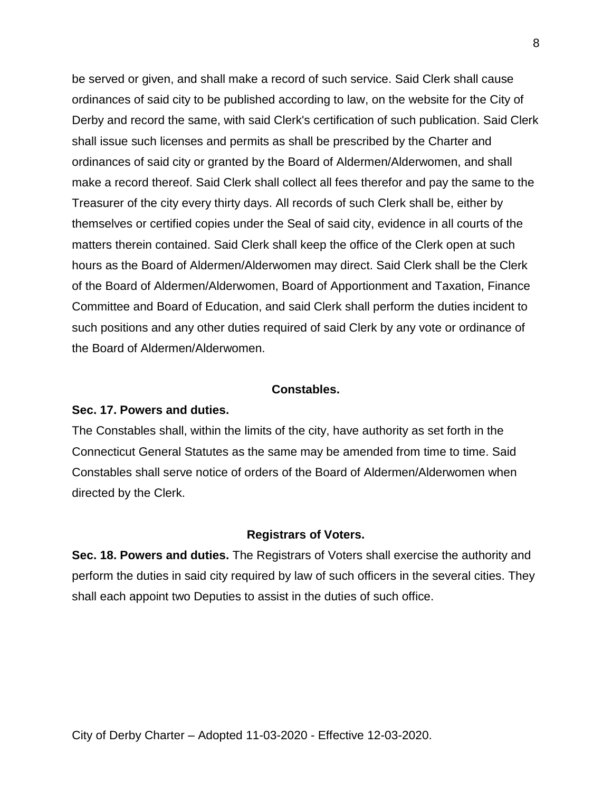be served or given, and shall make a record of such service. Said Clerk shall cause ordinances of said city to be published according to law, on the website for the City of Derby and record the same, with said Clerk's certification of such publication. Said Clerk shall issue such licenses and permits as shall be prescribed by the Charter and ordinances of said city or granted by the Board of Aldermen/Alderwomen, and shall make a record thereof. Said Clerk shall collect all fees therefor and pay the same to the Treasurer of the city every thirty days. All records of such Clerk shall be, either by themselves or certified copies under the Seal of said city, evidence in all courts of the matters therein contained. Said Clerk shall keep the office of the Clerk open at such hours as the Board of Aldermen/Alderwomen may direct. Said Clerk shall be the Clerk of the Board of Aldermen/Alderwomen, Board of Apportionment and Taxation, Finance Committee and Board of Education, and said Clerk shall perform the duties incident to such positions and any other duties required of said Clerk by any vote or ordinance of the Board of Aldermen/Alderwomen.

### **Constables.**

#### **Sec. 17. Powers and duties.**

The Constables shall, within the limits of the city, have authority as set forth in the Connecticut General Statutes as the same may be amended from time to time. Said Constables shall serve notice of orders of the Board of Aldermen/Alderwomen when directed by the Clerk.

### **Registrars of Voters.**

**Sec. 18. Powers and duties.** The Registrars of Voters shall exercise the authority and perform the duties in said city required by law of such officers in the several cities. They shall each appoint two Deputies to assist in the duties of such office.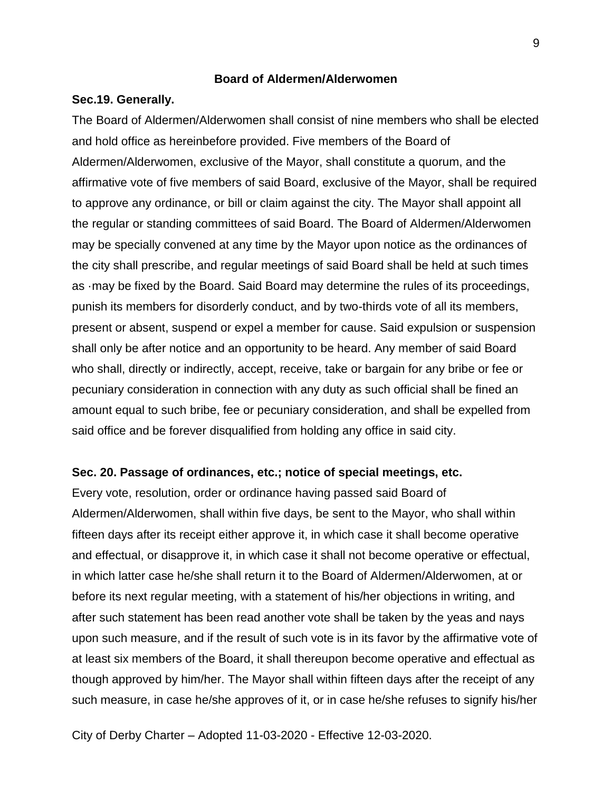### **Board of Aldermen/Alderwomen**

### **Sec.19. Generally.**

The Board of Aldermen/Alderwomen shall consist of nine members who shall be elected and hold office as hereinbefore provided. Five members of the Board of Aldermen/Alderwomen, exclusive of the Mayor, shall constitute a quorum, and the affirmative vote of five members of said Board, exclusive of the Mayor, shall be required to approve any ordinance, or bill or claim against the city. The Mayor shall appoint all the regular or standing committees of said Board. The Board of Aldermen/Alderwomen may be specially convened at any time by the Mayor upon notice as the ordinances of the city shall prescribe, and regular meetings of said Board shall be held at such times as ·may be fixed by the Board. Said Board may determine the rules of its proceedings, punish its members for disorderly conduct, and by two-thirds vote of all its members, present or absent, suspend or expel a member for cause. Said expulsion or suspension shall only be after notice and an opportunity to be heard. Any member of said Board who shall, directly or indirectly, accept, receive, take or bargain for any bribe or fee or pecuniary consideration in connection with any duty as such official shall be fined an amount equal to such bribe, fee or pecuniary consideration, and shall be expelled from said office and be forever disqualified from holding any office in said city.

### **Sec. 20. Passage of ordinances, etc.; notice of special meetings, etc.**

Every vote, resolution, order or ordinance having passed said Board of Aldermen/Alderwomen, shall within five days, be sent to the Mayor, who shall within fifteen days after its receipt either approve it, in which case it shall become operative and effectual, or disapprove it, in which case it shall not become operative or effectual, in which latter case he/she shall return it to the Board of Aldermen/Alderwomen, at or before its next regular meeting, with a statement of his/her objections in writing, and after such statement has been read another vote shall be taken by the yeas and nays upon such measure, and if the result of such vote is in its favor by the affirmative vote of at least six members of the Board, it shall thereupon become operative and effectual as though approved by him/her. The Mayor shall within fifteen days after the receipt of any such measure, in case he/she approves of it, or in case he/she refuses to signify his/her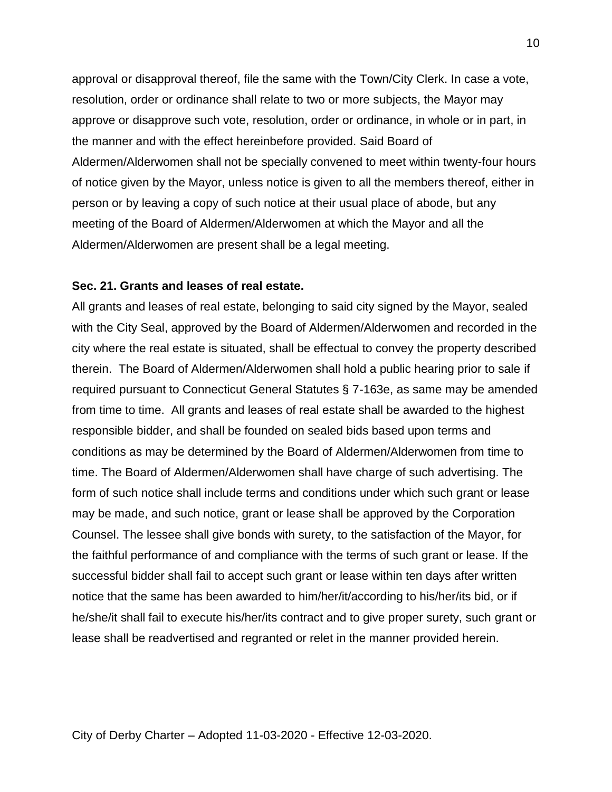approval or disapproval thereof, file the same with the Town/City Clerk. In case a vote, resolution, order or ordinance shall relate to two or more subjects, the Mayor may approve or disapprove such vote, resolution, order or ordinance, in whole or in part, in the manner and with the effect hereinbefore provided. Said Board of Aldermen/Alderwomen shall not be specially convened to meet within twenty-four hours of notice given by the Mayor, unless notice is given to all the members thereof, either in person or by leaving a copy of such notice at their usual place of abode, but any meeting of the Board of Aldermen/Alderwomen at which the Mayor and all the Aldermen/Alderwomen are present shall be a legal meeting.

### **Sec. 21. Grants and leases of real estate.**

All grants and leases of real estate, belonging to said city signed by the Mayor, sealed with the City Seal, approved by the Board of Aldermen/Alderwomen and recorded in the city where the real estate is situated, shall be effectual to convey the property described therein. The Board of Aldermen/Alderwomen shall hold a public hearing prior to sale if required pursuant to Connecticut General Statutes § 7-163e, as same may be amended from time to time. All grants and leases of real estate shall be awarded to the highest responsible bidder, and shall be founded on sealed bids based upon terms and conditions as may be determined by the Board of Aldermen/Alderwomen from time to time. The Board of Aldermen/Alderwomen shall have charge of such advertising. The form of such notice shall include terms and conditions under which such grant or lease may be made, and such notice, grant or lease shall be approved by the Corporation Counsel. The lessee shall give bonds with surety, to the satisfaction of the Mayor, for the faithful performance of and compliance with the terms of such grant or lease. If the successful bidder shall fail to accept such grant or lease within ten days after written notice that the same has been awarded to him/her/it/according to his/her/its bid, or if he/she/it shall fail to execute his/her/its contract and to give proper surety, such grant or lease shall be readvertised and regranted or relet in the manner provided herein.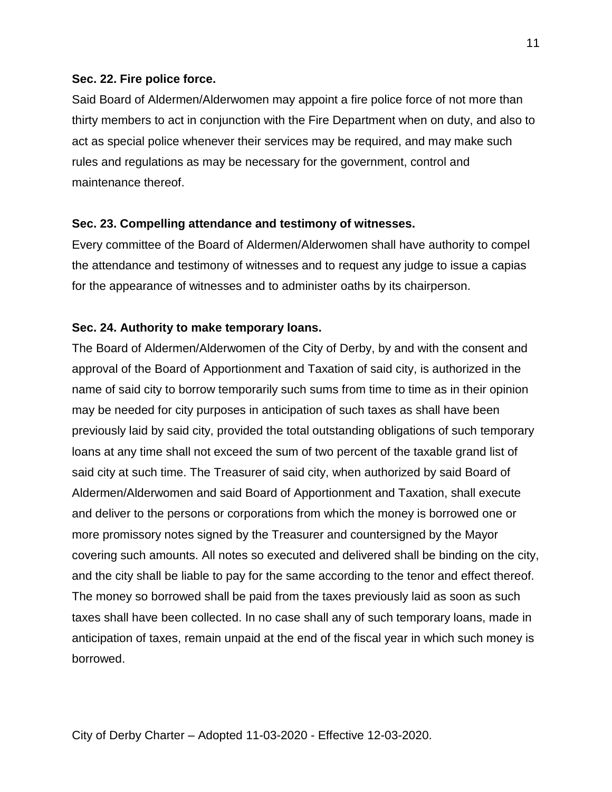## **Sec. 22. Fire police force.**

Said Board of Aldermen/Alderwomen may appoint a fire police force of not more than thirty members to act in conjunction with the Fire Department when on duty, and also to act as special police whenever their services may be required, and may make such rules and regulations as may be necessary for the government, control and maintenance thereof.

## **Sec. 23. Compelling attendance and testimony of witnesses.**

Every committee of the Board of Aldermen/Alderwomen shall have authority to compel the attendance and testimony of witnesses and to request any judge to issue a capias for the appearance of witnesses and to administer oaths by its chairperson.

## **Sec. 24. Authority to make temporary loans.**

The Board of Aldermen/Alderwomen of the City of Derby, by and with the consent and approval of the Board of Apportionment and Taxation of said city, is authorized in the name of said city to borrow temporarily such sums from time to time as in their opinion may be needed for city purposes in anticipation of such taxes as shall have been previously laid by said city, provided the total outstanding obligations of such temporary loans at any time shall not exceed the sum of two percent of the taxable grand list of said city at such time. The Treasurer of said city, when authorized by said Board of Aldermen/Alderwomen and said Board of Apportionment and Taxation, shall execute and deliver to the persons or corporations from which the money is borrowed one or more promissory notes signed by the Treasurer and countersigned by the Mayor covering such amounts. All notes so executed and delivered shall be binding on the city, and the city shall be liable to pay for the same according to the tenor and effect thereof. The money so borrowed shall be paid from the taxes previously laid as soon as such taxes shall have been collected. In no case shall any of such temporary loans, made in anticipation of taxes, remain unpaid at the end of the fiscal year in which such money is borrowed.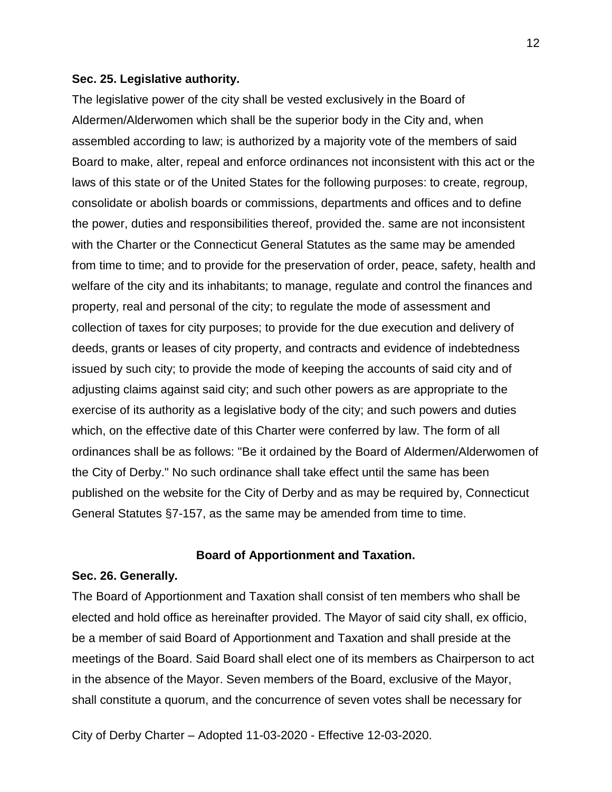### **Sec. 25. Legislative authority.**

The legislative power of the city shall be vested exclusively in the Board of Aldermen/Alderwomen which shall be the superior body in the City and, when assembled according to law; is authorized by a majority vote of the members of said Board to make, alter, repeal and enforce ordinances not inconsistent with this act or the laws of this state or of the United States for the following purposes: to create, regroup, consolidate or abolish boards or commissions, departments and offices and to define the power, duties and responsibilities thereof, provided the. same are not inconsistent with the Charter or the Connecticut General Statutes as the same may be amended from time to time; and to provide for the preservation of order, peace, safety, health and welfare of the city and its inhabitants; to manage, regulate and control the finances and property, real and personal of the city; to regulate the mode of assessment and collection of taxes for city purposes; to provide for the due execution and delivery of deeds, grants or leases of city property, and contracts and evidence of indebtedness issued by such city; to provide the mode of keeping the accounts of said city and of adjusting claims against said city; and such other powers as are appropriate to the exercise of its authority as a legislative body of the city; and such powers and duties which, on the effective date of this Charter were conferred by law. The form of all ordinances shall be as follows: "Be it ordained by the Board of Aldermen/Alderwomen of the City of Derby." No such ordinance shall take effect until the same has been published on the website for the City of Derby and as may be required by, Connecticut General Statutes §7-157, as the same may be amended from time to time.

## **Board of Apportionment and Taxation.**

#### **Sec. 26. Generally.**

The Board of Apportionment and Taxation shall consist of ten members who shall be elected and hold office as hereinafter provided. The Mayor of said city shall, ex officio, be a member of said Board of Apportionment and Taxation and shall preside at the meetings of the Board. Said Board shall elect one of its members as Chairperson to act in the absence of the Mayor. Seven members of the Board, exclusive of the Mayor, shall constitute a quorum, and the concurrence of seven votes shall be necessary for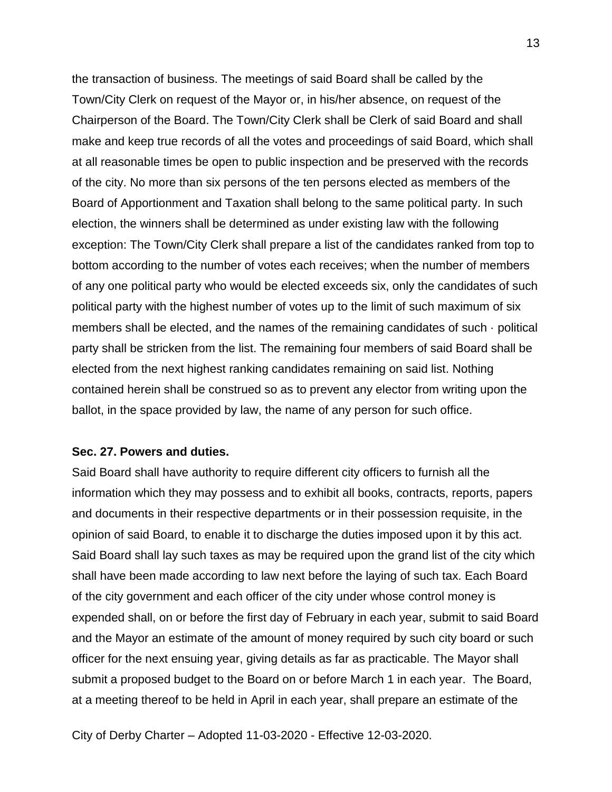the transaction of business. The meetings of said Board shall be called by the Town/City Clerk on request of the Mayor or, in his/her absence, on request of the Chairperson of the Board. The Town/City Clerk shall be Clerk of said Board and shall make and keep true records of all the votes and proceedings of said Board, which shall at all reasonable times be open to public inspection and be preserved with the records of the city. No more than six persons of the ten persons elected as members of the Board of Apportionment and Taxation shall belong to the same political party. In such election, the winners shall be determined as under existing law with the following exception: The Town/City Clerk shall prepare a list of the candidates ranked from top to bottom according to the number of votes each receives; when the number of members of any one political party who would be elected exceeds six, only the candidates of such political party with the highest number of votes up to the limit of such maximum of six members shall be elected, and the names of the remaining candidates of such · political party shall be stricken from the list. The remaining four members of said Board shall be elected from the next highest ranking candidates remaining on said list. Nothing contained herein shall be construed so as to prevent any elector from writing upon the ballot, in the space provided by law, the name of any person for such office.

## **Sec. 27. Powers and duties.**

Said Board shall have authority to require different city officers to furnish all the information which they may possess and to exhibit all books, contracts, reports, papers and documents in their respective departments or in their possession requisite, in the opinion of said Board, to enable it to discharge the duties imposed upon it by this act. Said Board shall lay such taxes as may be required upon the grand list of the city which shall have been made according to law next before the laying of such tax. Each Board of the city government and each officer of the city under whose control money is expended shall, on or before the first day of February in each year, submit to said Board and the Mayor an estimate of the amount of money required by such city board or such officer for the next ensuing year, giving details as far as practicable. The Mayor shall submit a proposed budget to the Board on or before March 1 in each year. The Board, at a meeting thereof to be held in April in each year, shall prepare an estimate of the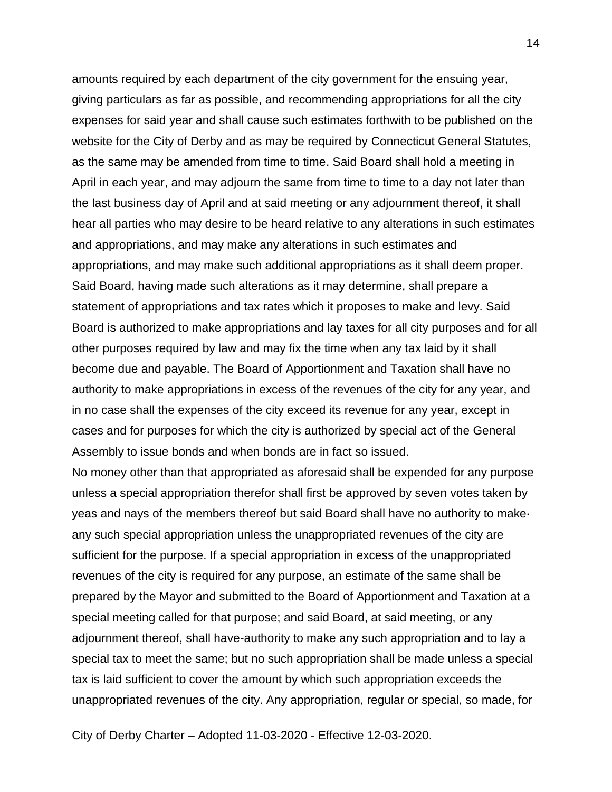amounts required by each department of the city government for the ensuing year, giving particulars as far as possible, and recommending appropriations for all the city expenses for said year and shall cause such estimates forthwith to be published on the website for the City of Derby and as may be required by Connecticut General Statutes, as the same may be amended from time to time. Said Board shall hold a meeting in April in each year, and may adjourn the same from time to time to a day not later than the last business day of April and at said meeting or any adjournment thereof, it shall hear all parties who may desire to be heard relative to any alterations in such estimates and appropriations, and may make any alterations in such estimates and appropriations, and may make such additional appropriations as it shall deem proper. Said Board, having made such alterations as it may determine, shall prepare a statement of appropriations and tax rates which it proposes to make and levy. Said Board is authorized to make appropriations and lay taxes for all city purposes and for all other purposes required by law and may fix the time when any tax laid by it shall become due and payable. The Board of Apportionment and Taxation shall have no authority to make appropriations in excess of the revenues of the city for any year, and in no case shall the expenses of the city exceed its revenue for any year, except in cases and for purposes for which the city is authorized by special act of the General Assembly to issue bonds and when bonds are in fact so issued.

No money other than that appropriated as aforesaid shall be expended for any purpose unless a special appropriation therefor shall first be approved by seven votes taken by yeas and nays of the members thereof but said Board shall have no authority to make· any such special appropriation unless the unappropriated revenues of the city are sufficient for the purpose. If a special appropriation in excess of the unappropriated revenues of the city is required for any purpose, an estimate of the same shall be prepared by the Mayor and submitted to the Board of Apportionment and Taxation at a special meeting called for that purpose; and said Board, at said meeting, or any adjournment thereof, shall have-authority to make any such appropriation and to lay a special tax to meet the same; but no such appropriation shall be made unless a special tax is laid sufficient to cover the amount by which such appropriation exceeds the unappropriated revenues of the city. Any appropriation, regular or special, so made, for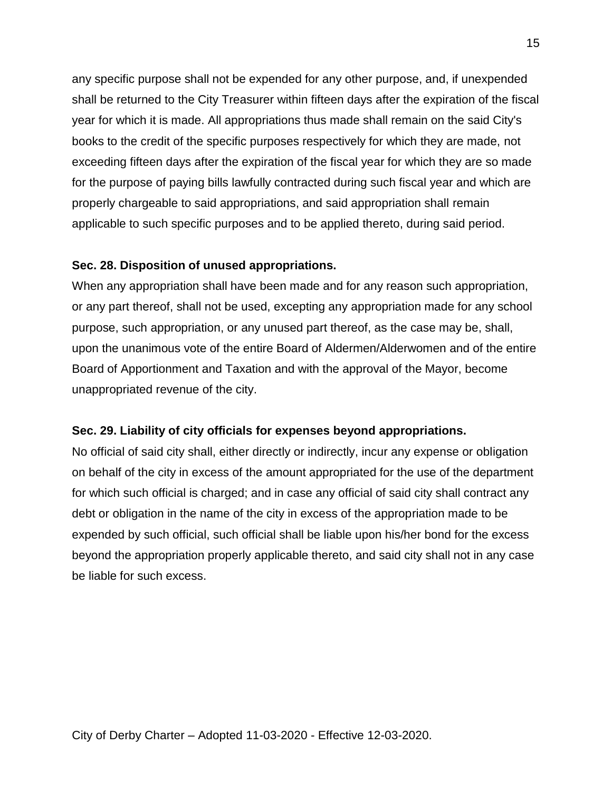any specific purpose shall not be expended for any other purpose, and, if unexpended shall be returned to the City Treasurer within fifteen days after the expiration of the fiscal year for which it is made. All appropriations thus made shall remain on the said City's books to the credit of the specific purposes respectively for which they are made, not exceeding fifteen days after the expiration of the fiscal year for which they are so made for the purpose of paying bills lawfully contracted during such fiscal year and which are properly chargeable to said appropriations, and said appropriation shall remain applicable to such specific purposes and to be applied thereto, during said period.

## **Sec. 28. Disposition of unused appropriations.**

When any appropriation shall have been made and for any reason such appropriation, or any part thereof, shall not be used, excepting any appropriation made for any school purpose, such appropriation, or any unused part thereof, as the case may be, shall, upon the unanimous vote of the entire Board of Aldermen/Alderwomen and of the entire Board of Apportionment and Taxation and with the approval of the Mayor, become unappropriated revenue of the city.

## **Sec. 29. Liability of city officials for expenses beyond appropriations.**

No official of said city shall, either directly or indirectly, incur any expense or obligation on behalf of the city in excess of the amount appropriated for the use of the department for which such official is charged; and in case any official of said city shall contract any debt or obligation in the name of the city in excess of the appropriation made to be expended by such official, such official shall be liable upon his/her bond for the excess beyond the appropriation properly applicable thereto, and said city shall not in any case be liable for such excess.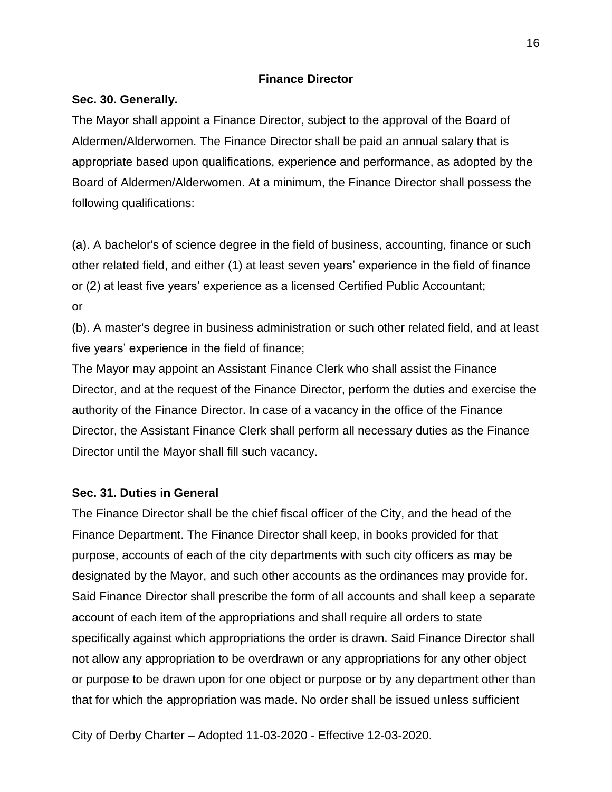## **Finance Director**

## **Sec. 30. Generally.**

The Mayor shall appoint a Finance Director, subject to the approval of the Board of Aldermen/Alderwomen. The Finance Director shall be paid an annual salary that is appropriate based upon qualifications, experience and performance, as adopted by the Board of Aldermen/Alderwomen. At a minimum, the Finance Director shall possess the following qualifications:

(a). A bachelor's of science degree in the field of business, accounting, finance or such other related field, and either (1) at least seven years' experience in the field of finance or (2) at least five years' experience as a licensed Certified Public Accountant; or

(b). A master's degree in business administration or such other related field, and at least five years' experience in the field of finance;

The Mayor may appoint an Assistant Finance Clerk who shall assist the Finance Director, and at the request of the Finance Director, perform the duties and exercise the authority of the Finance Director. In case of a vacancy in the office of the Finance Director, the Assistant Finance Clerk shall perform all necessary duties as the Finance Director until the Mayor shall fill such vacancy.

## **Sec. 31. Duties in General**

The Finance Director shall be the chief fiscal officer of the City, and the head of the Finance Department. The Finance Director shall keep, in books provided for that purpose, accounts of each of the city departments with such city officers as may be designated by the Mayor, and such other accounts as the ordinances may provide for. Said Finance Director shall prescribe the form of all accounts and shall keep a separate account of each item of the appropriations and shall require all orders to state specifically against which appropriations the order is drawn. Said Finance Director shall not allow any appropriation to be overdrawn or any appropriations for any other object or purpose to be drawn upon for one object or purpose or by any department other than that for which the appropriation was made. No order shall be issued unless sufficient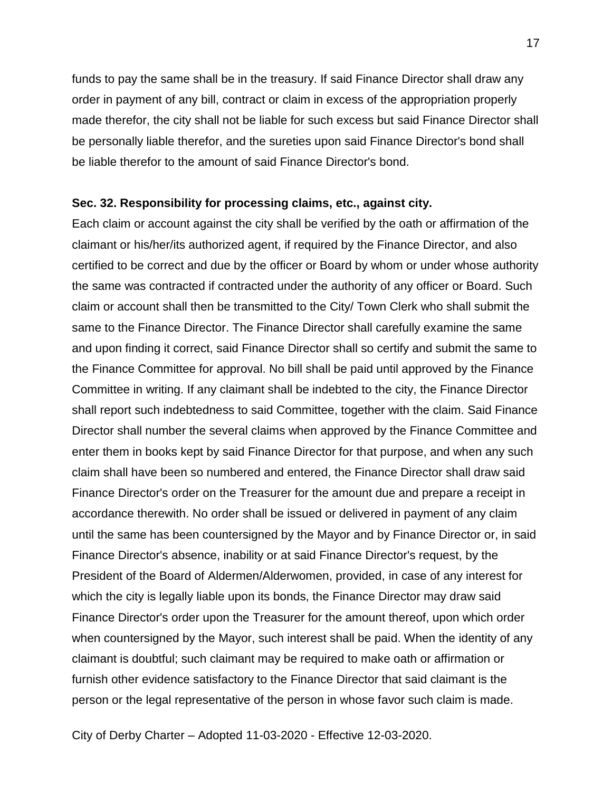funds to pay the same shall be in the treasury. If said Finance Director shall draw any order in payment of any bill, contract or claim in excess of the appropriation properly made therefor, the city shall not be liable for such excess but said Finance Director shall be personally liable therefor, and the sureties upon said Finance Director's bond shall be liable therefor to the amount of said Finance Director's bond.

### **Sec. 32. Responsibility for processing claims, etc., against city.**

Each claim or account against the city shall be verified by the oath or affirmation of the claimant or his/her/its authorized agent, if required by the Finance Director, and also certified to be correct and due by the officer or Board by whom or under whose authority the same was contracted if contracted under the authority of any officer or Board. Such claim or account shall then be transmitted to the City/ Town Clerk who shall submit the same to the Finance Director. The Finance Director shall carefully examine the same and upon finding it correct, said Finance Director shall so certify and submit the same to the Finance Committee for approval. No bill shall be paid until approved by the Finance Committee in writing. If any claimant shall be indebted to the city, the Finance Director shall report such indebtedness to said Committee, together with the claim. Said Finance Director shall number the several claims when approved by the Finance Committee and enter them in books kept by said Finance Director for that purpose, and when any such claim shall have been so numbered and entered, the Finance Director shall draw said Finance Director's order on the Treasurer for the amount due and prepare a receipt in accordance therewith. No order shall be issued or delivered in payment of any claim until the same has been countersigned by the Mayor and by Finance Director or, in said Finance Director's absence, inability or at said Finance Director's request, by the President of the Board of Aldermen/Alderwomen, provided, in case of any interest for which the city is legally liable upon its bonds, the Finance Director may draw said Finance Director's order upon the Treasurer for the amount thereof, upon which order when countersigned by the Mayor, such interest shall be paid. When the identity of any claimant is doubtful; such claimant may be required to make oath or affirmation or furnish other evidence satisfactory to the Finance Director that said claimant is the person or the legal representative of the person in whose favor such claim is made.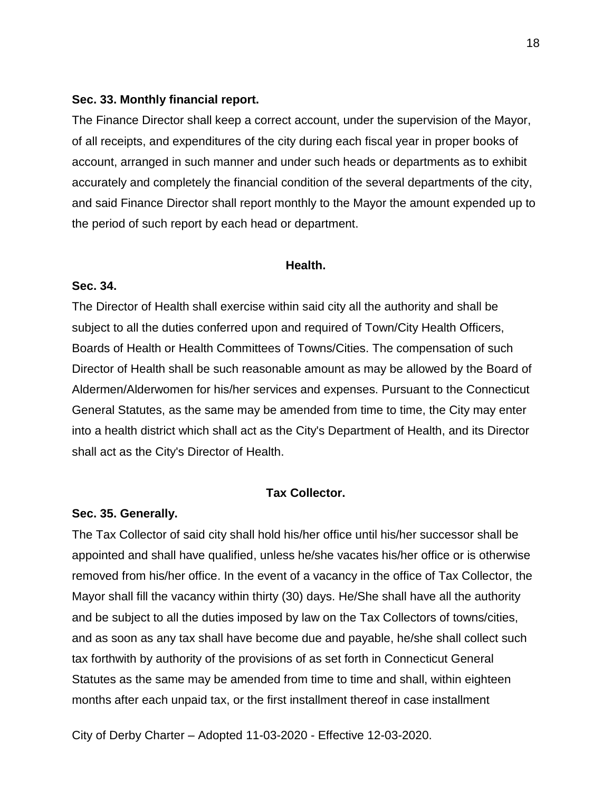### **Sec. 33. Monthly financial report.**

The Finance Director shall keep a correct account, under the supervision of the Mayor, of all receipts, and expenditures of the city during each fiscal year in proper books of account, arranged in such manner and under such heads or departments as to exhibit accurately and completely the financial condition of the several departments of the city, and said Finance Director shall report monthly to the Mayor the amount expended up to the period of such report by each head or department.

### **Health.**

## **Sec. 34.**

The Director of Health shall exercise within said city all the authority and shall be subject to all the duties conferred upon and required of Town/City Health Officers, Boards of Health or Health Committees of Towns/Cities. The compensation of such Director of Health shall be such reasonable amount as may be allowed by the Board of Aldermen/Alderwomen for his/her services and expenses. Pursuant to the Connecticut General Statutes, as the same may be amended from time to time, the City may enter into a health district which shall act as the City's Department of Health, and its Director shall act as the City's Director of Health.

### **Tax Collector.**

### **Sec. 35. Generally.**

The Tax Collector of said city shall hold his/her office until his/her successor shall be appointed and shall have qualified, unless he/she vacates his/her office or is otherwise removed from his/her office. In the event of a vacancy in the office of Tax Collector, the Mayor shall fill the vacancy within thirty (30) days. He/She shall have all the authority and be subject to all the duties imposed by law on the Tax Collectors of towns/cities, and as soon as any tax shall have become due and payable, he/she shall collect such tax forthwith by authority of the provisions of as set forth in Connecticut General Statutes as the same may be amended from time to time and shall, within eighteen months after each unpaid tax, or the first installment thereof in case installment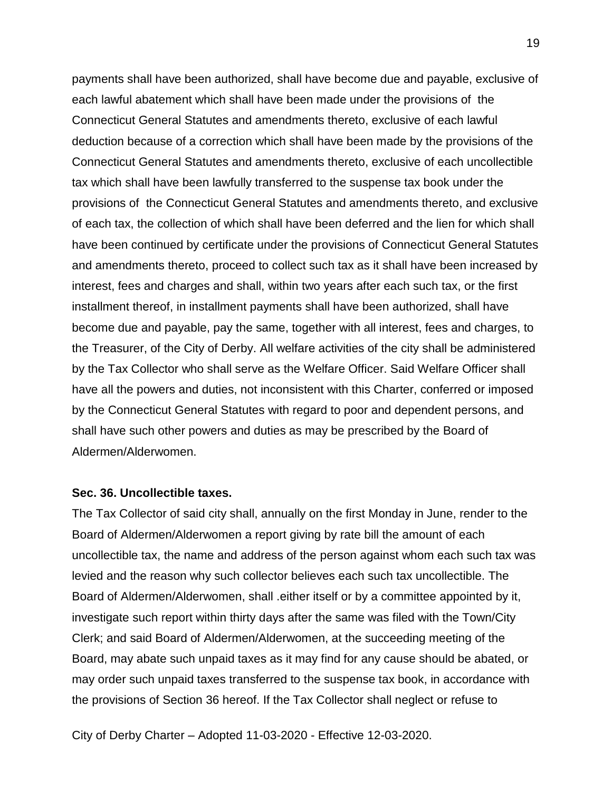payments shall have been authorized, shall have become due and payable, exclusive of each lawful abatement which shall have been made under the provisions of the Connecticut General Statutes and amendments thereto, exclusive of each lawful deduction because of a correction which shall have been made by the provisions of the Connecticut General Statutes and amendments thereto, exclusive of each uncollectible tax which shall have been lawfully transferred to the suspense tax book under the provisions of the Connecticut General Statutes and amendments thereto, and exclusive of each tax, the collection of which shall have been deferred and the lien for which shall have been continued by certificate under the provisions of Connecticut General Statutes and amendments thereto, proceed to collect such tax as it shall have been increased by interest, fees and charges and shall, within two years after each such tax, or the first installment thereof, in installment payments shall have been authorized, shall have become due and payable, pay the same, together with all interest, fees and charges, to the Treasurer, of the City of Derby. All welfare activities of the city shall be administered by the Tax Collector who shall serve as the Welfare Officer. Said Welfare Officer shall have all the powers and duties, not inconsistent with this Charter, conferred or imposed by the Connecticut General Statutes with regard to poor and dependent persons, and shall have such other powers and duties as may be prescribed by the Board of Aldermen/Alderwomen.

### **Sec. 36. Uncollectible taxes.**

The Tax Collector of said city shall, annually on the first Monday in June, render to the Board of Aldermen/Alderwomen a report giving by rate bill the amount of each uncollectible tax, the name and address of the person against whom each such tax was levied and the reason why such collector believes each such tax uncollectible. The Board of Aldermen/Alderwomen, shall .either itself or by a committee appointed by it, investigate such report within thirty days after the same was filed with the Town/City Clerk; and said Board of Aldermen/Alderwomen, at the succeeding meeting of the Board, may abate such unpaid taxes as it may find for any cause should be abated, or may order such unpaid taxes transferred to the suspense tax book, in accordance with the provisions of Section 36 hereof. If the Tax Collector shall neglect or refuse to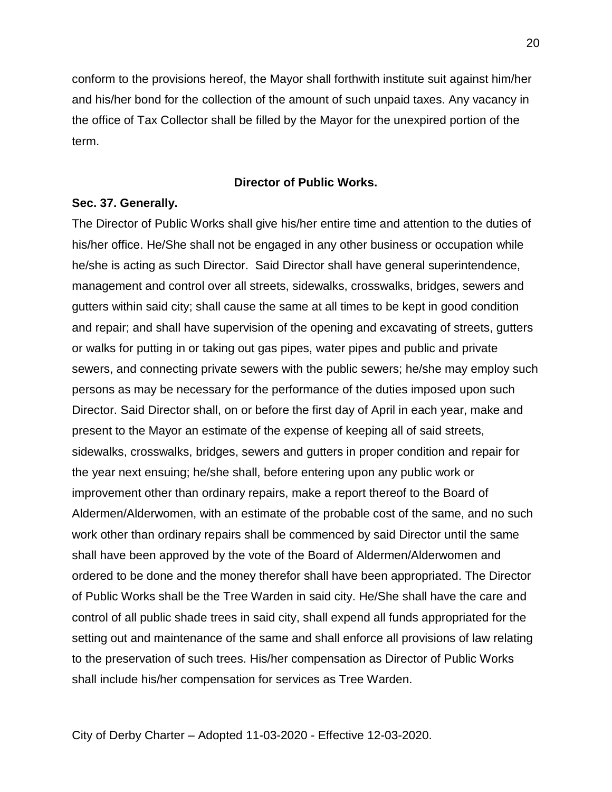conform to the provisions hereof, the Mayor shall forthwith institute suit against him/her and his/her bond for the collection of the amount of such unpaid taxes. Any vacancy in the office of Tax Collector shall be filled by the Mayor for the unexpired portion of the term.

### **Director of Public Works.**

### **Sec. 37. Generally.**

The Director of Public Works shall give his/her entire time and attention to the duties of his/her office. He/She shall not be engaged in any other business or occupation while he/she is acting as such Director. Said Director shall have general superintendence, management and control over all streets, sidewalks, crosswalks, bridges, sewers and gutters within said city; shall cause the same at all times to be kept in good condition and repair; and shall have supervision of the opening and excavating of streets, gutters or walks for putting in or taking out gas pipes, water pipes and public and private sewers, and connecting private sewers with the public sewers; he/she may employ such persons as may be necessary for the performance of the duties imposed upon such Director. Said Director shall, on or before the first day of April in each year, make and present to the Mayor an estimate of the expense of keeping all of said streets, sidewalks, crosswalks, bridges, sewers and gutters in proper condition and repair for the year next ensuing; he/she shall, before entering upon any public work or improvement other than ordinary repairs, make a report thereof to the Board of Aldermen/Alderwomen, with an estimate of the probable cost of the same, and no such work other than ordinary repairs shall be commenced by said Director until the same shall have been approved by the vote of the Board of Aldermen/Alderwomen and ordered to be done and the money therefor shall have been appropriated. The Director of Public Works shall be the Tree Warden in said city. He/She shall have the care and control of all public shade trees in said city, shall expend all funds appropriated for the setting out and maintenance of the same and shall enforce all provisions of law relating to the preservation of such trees. His/her compensation as Director of Public Works shall include his/her compensation for services as Tree Warden.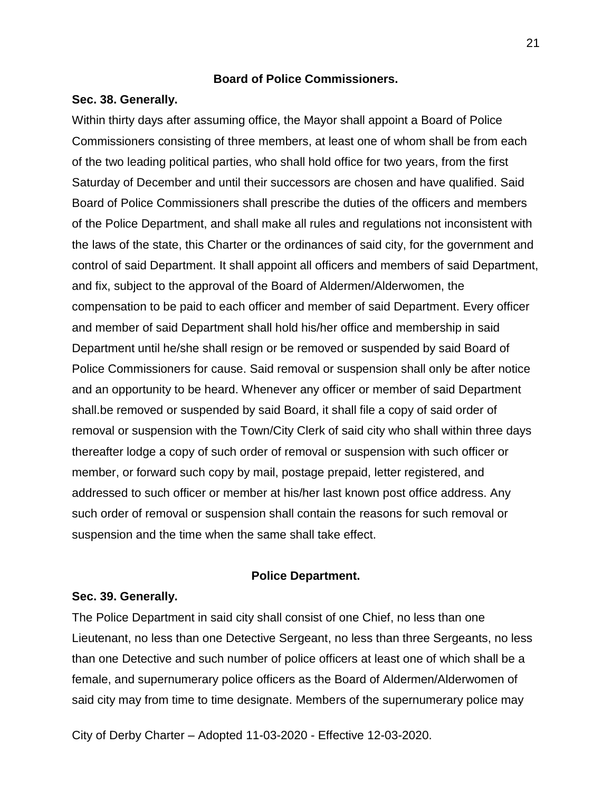## **Board of Police Commissioners.**

### **Sec. 38. Generally.**

Within thirty days after assuming office, the Mayor shall appoint a Board of Police Commissioners consisting of three members, at least one of whom shall be from each of the two leading political parties, who shall hold office for two years, from the first Saturday of December and until their successors are chosen and have qualified. Said Board of Police Commissioners shall prescribe the duties of the officers and members of the Police Department, and shall make all rules and regulations not inconsistent with the laws of the state, this Charter or the ordinances of said city, for the government and control of said Department. It shall appoint all officers and members of said Department, and fix, subject to the approval of the Board of Aldermen/Alderwomen, the compensation to be paid to each officer and member of said Department. Every officer and member of said Department shall hold his/her office and membership in said Department until he/she shall resign or be removed or suspended by said Board of Police Commissioners for cause. Said removal or suspension shall only be after notice and an opportunity to be heard. Whenever any officer or member of said Department shall.be removed or suspended by said Board, it shall file a copy of said order of removal or suspension with the Town/City Clerk of said city who shall within three days thereafter lodge a copy of such order of removal or suspension with such officer or member, or forward such copy by mail, postage prepaid, letter registered, and addressed to such officer or member at his/her last known post office address. Any such order of removal or suspension shall contain the reasons for such removal or suspension and the time when the same shall take effect.

### **Police Department.**

### **Sec. 39. Generally.**

The Police Department in said city shall consist of one Chief, no less than one Lieutenant, no less than one Detective Sergeant, no less than three Sergeants, no less than one Detective and such number of police officers at least one of which shall be a female, and supernumerary police officers as the Board of Aldermen/Alderwomen of said city may from time to time designate. Members of the supernumerary police may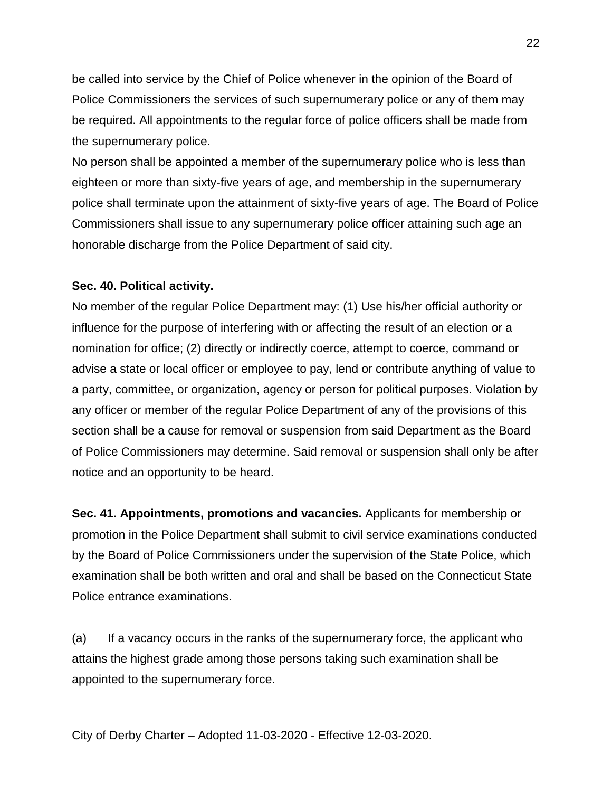be called into service by the Chief of Police whenever in the opinion of the Board of Police Commissioners the services of such supernumerary police or any of them may be required. All appointments to the regular force of police officers shall be made from the supernumerary police.

No person shall be appointed a member of the supernumerary police who is less than eighteen or more than sixty-five years of age, and membership in the supernumerary police shall terminate upon the attainment of sixty-five years of age. The Board of Police Commissioners shall issue to any supernumerary police officer attaining such age an honorable discharge from the Police Department of said city.

## **Sec. 40. Political activity.**

No member of the regular Police Department may: (1) Use his/her official authority or influence for the purpose of interfering with or affecting the result of an election or a nomination for office; (2) directly or indirectly coerce, attempt to coerce, command or advise a state or local officer or employee to pay, lend or contribute anything of value to a party, committee, or organization, agency or person for political purposes. Violation by any officer or member of the regular Police Department of any of the provisions of this section shall be a cause for removal or suspension from said Department as the Board of Police Commissioners may determine. Said removal or suspension shall only be after notice and an opportunity to be heard.

**Sec. 41. Appointments, promotions and vacancies.** Applicants for membership or promotion in the Police Department shall submit to civil service examinations conducted by the Board of Police Commissioners under the supervision of the State Police, which examination shall be both written and oral and shall be based on the Connecticut State Police entrance examinations.

(a) If a vacancy occurs in the ranks of the supernumerary force, the applicant who attains the highest grade among those persons taking such examination shall be appointed to the supernumerary force.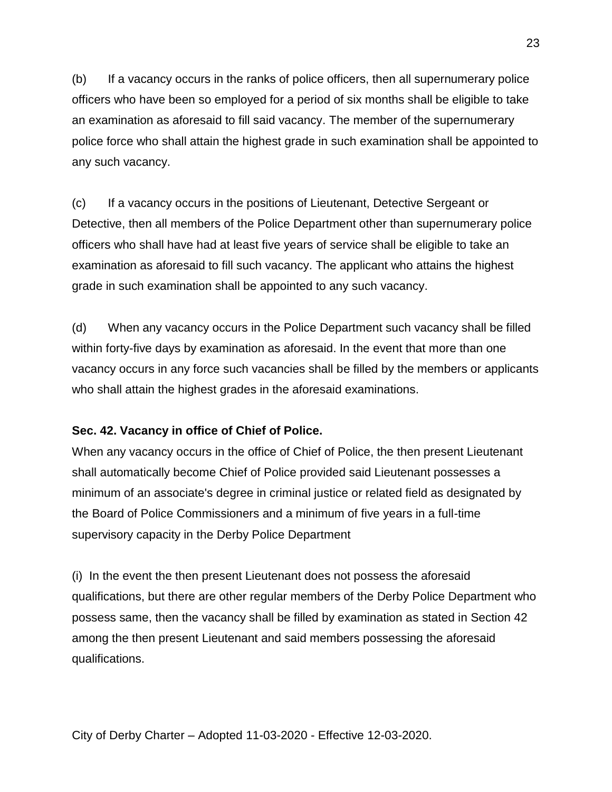(b) If a vacancy occurs in the ranks of police officers, then all supernumerary police officers who have been so employed for a period of six months shall be eligible to take an examination as aforesaid to fill said vacancy. The member of the supernumerary police force who shall attain the highest grade in such examination shall be appointed to any such vacancy.

(c) If a vacancy occurs in the positions of Lieutenant, Detective Sergeant or Detective, then all members of the Police Department other than supernumerary police officers who shall have had at least five years of service shall be eligible to take an examination as aforesaid to fill such vacancy. The applicant who attains the highest grade in such examination shall be appointed to any such vacancy.

(d) When any vacancy occurs in the Police Department such vacancy shall be filled within forty-five days by examination as aforesaid. In the event that more than one vacancy occurs in any force such vacancies shall be filled by the members or applicants who shall attain the highest grades in the aforesaid examinations.

## **Sec. 42. Vacancy in office of Chief of Police.**

When any vacancy occurs in the office of Chief of Police, the then present Lieutenant shall automatically become Chief of Police provided said Lieutenant possesses a minimum of an associate's degree in criminal justice or related field as designated by the Board of Police Commissioners and a minimum of five years in a full-time supervisory capacity in the Derby Police Department

(i) In the event the then present Lieutenant does not possess the aforesaid qualifications, but there are other regular members of the Derby Police Department who possess same, then the vacancy shall be filled by examination as stated in Section 42 among the then present Lieutenant and said members possessing the aforesaid qualifications.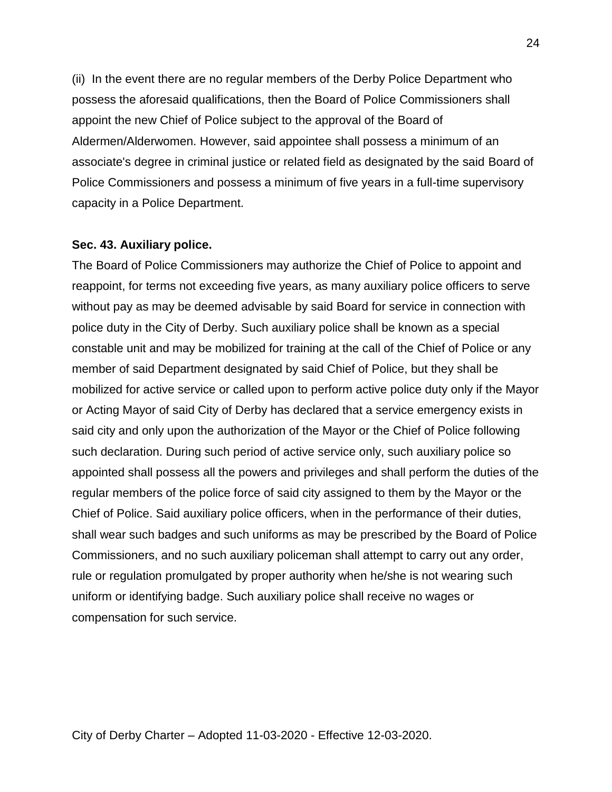(ii) In the event there are no regular members of the Derby Police Department who possess the aforesaid qualifications, then the Board of Police Commissioners shall appoint the new Chief of Police subject to the approval of the Board of Aldermen/Alderwomen. However, said appointee shall possess a minimum of an associate's degree in criminal justice or related field as designated by the said Board of Police Commissioners and possess a minimum of five years in a full-time supervisory capacity in a Police Department.

### **Sec. 43. Auxiliary police.**

The Board of Police Commissioners may authorize the Chief of Police to appoint and reappoint, for terms not exceeding five years, as many auxiliary police officers to serve without pay as may be deemed advisable by said Board for service in connection with police duty in the City of Derby. Such auxiliary police shall be known as a special constable unit and may be mobilized for training at the call of the Chief of Police or any member of said Department designated by said Chief of Police, but they shall be mobilized for active service or called upon to perform active police duty only if the Mayor or Acting Mayor of said City of Derby has declared that a service emergency exists in said city and only upon the authorization of the Mayor or the Chief of Police following such declaration. During such period of active service only, such auxiliary police so appointed shall possess all the powers and privileges and shall perform the duties of the regular members of the police force of said city assigned to them by the Mayor or the Chief of Police. Said auxiliary police officers, when in the performance of their duties, shall wear such badges and such uniforms as may be prescribed by the Board of Police Commissioners, and no such auxiliary policeman shall attempt to carry out any order, rule or regulation promulgated by proper authority when he/she is not wearing such uniform or identifying badge. Such auxiliary police shall receive no wages or compensation for such service.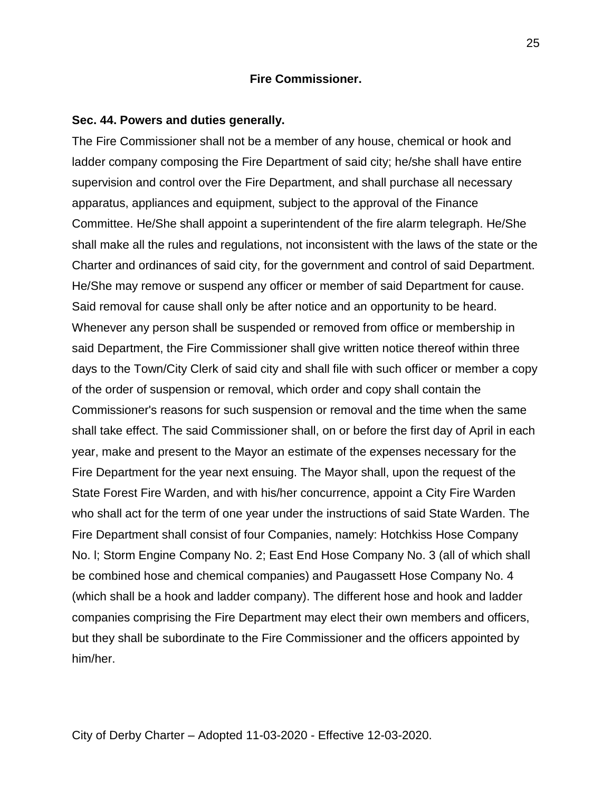### **Fire Commissioner.**

### **Sec. 44. Powers and duties generally.**

The Fire Commissioner shall not be a member of any house, chemical or hook and ladder company composing the Fire Department of said city; he/she shall have entire supervision and control over the Fire Department, and shall purchase all necessary apparatus, appliances and equipment, subject to the approval of the Finance Committee. He/She shall appoint a superintendent of the fire alarm telegraph. He/She shall make all the rules and regulations, not inconsistent with the laws of the state or the Charter and ordinances of said city, for the government and control of said Department. He/She may remove or suspend any officer or member of said Department for cause. Said removal for cause shall only be after notice and an opportunity to be heard. Whenever any person shall be suspended or removed from office or membership in said Department, the Fire Commissioner shall give written notice thereof within three days to the Town/City Clerk of said city and shall file with such officer or member a copy of the order of suspension or removal, which order and copy shall contain the Commissioner's reasons for such suspension or removal and the time when the same shall take effect. The said Commissioner shall, on or before the first day of April in each year, make and present to the Mayor an estimate of the expenses necessary for the Fire Department for the year next ensuing. The Mayor shall, upon the request of the State Forest Fire Warden, and with his/her concurrence, appoint a City Fire Warden who shall act for the term of one year under the instructions of said State Warden. The Fire Department shall consist of four Companies, namely: Hotchkiss Hose Company No. l; Storm Engine Company No. 2; East End Hose Company No. 3 (all of which shall be combined hose and chemical companies) and Paugassett Hose Company No. 4 (which shall be a hook and ladder company). The different hose and hook and ladder companies comprising the Fire Department may elect their own members and officers, but they shall be subordinate to the Fire Commissioner and the officers appointed by him/her.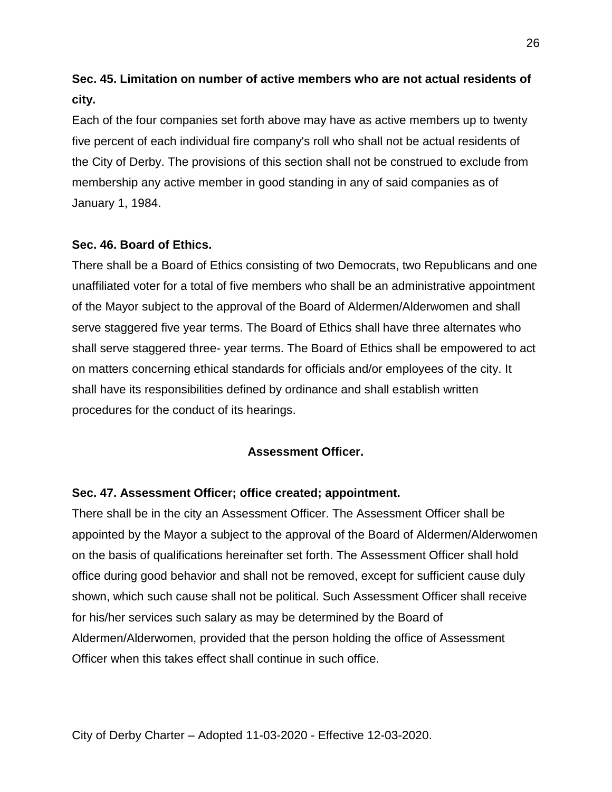# **Sec. 45. Limitation on number of active members who are not actual residents of city.**

Each of the four companies set forth above may have as active members up to twenty five percent of each individual fire company's roll who shall not be actual residents of the City of Derby. The provisions of this section shall not be construed to exclude from membership any active member in good standing in any of said companies as of January 1, 1984.

## **Sec. 46. Board of Ethics.**

There shall be a Board of Ethics consisting of two Democrats, two Republicans and one unaffiliated voter for a total of five members who shall be an administrative appointment of the Mayor subject to the approval of the Board of Aldermen/Alderwomen and shall serve staggered five year terms. The Board of Ethics shall have three alternates who shall serve staggered three- year terms. The Board of Ethics shall be empowered to act on matters concerning ethical standards for officials and/or employees of the city. It shall have its responsibilities defined by ordinance and shall establish written procedures for the conduct of its hearings.

## **Assessment Officer.**

## **Sec. 47. Assessment Officer; office created; appointment.**

There shall be in the city an Assessment Officer. The Assessment Officer shall be appointed by the Mayor a subject to the approval of the Board of Aldermen/Alderwomen on the basis of qualifications hereinafter set forth. The Assessment Officer shall hold office during good behavior and shall not be removed, except for sufficient cause duly shown, which such cause shall not be political. Such Assessment Officer shall receive for his/her services such salary as may be determined by the Board of Aldermen/Alderwomen, provided that the person holding the office of Assessment Officer when this takes effect shall continue in such office.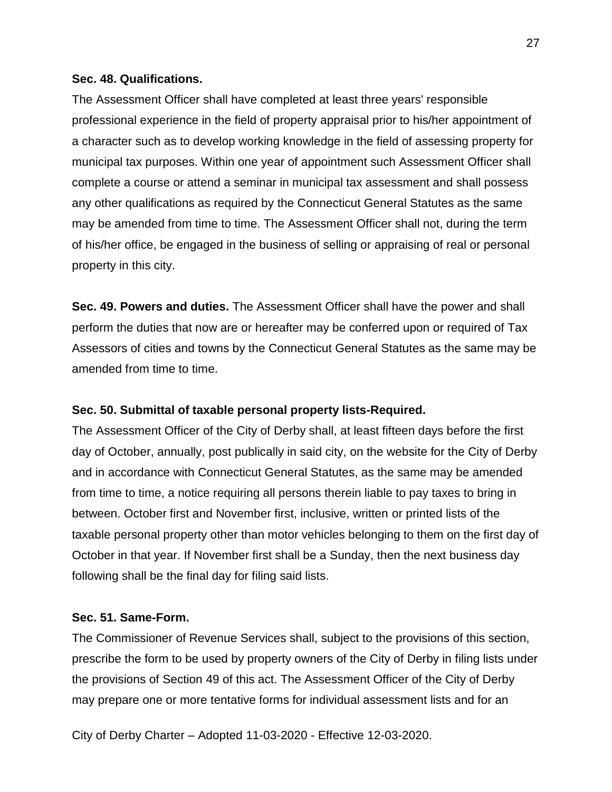### **Sec. 48. Qualifications.**

The Assessment Officer shall have completed at least three years' responsible professional experience in the field of property appraisal prior to his/her appointment of a character such as to develop working knowledge in the field of assessing property for municipal tax purposes. Within one year of appointment such Assessment Officer shall complete a course or attend a seminar in municipal tax assessment and shall possess any other qualifications as required by the Connecticut General Statutes as the same may be amended from time to time. The Assessment Officer shall not, during the term of his/her office, be engaged in the business of selling or appraising of real or personal property in this city.

**Sec. 49. Powers and duties.** The Assessment Officer shall have the power and shall perform the duties that now are or hereafter may be conferred upon or required of Tax Assessors of cities and towns by the Connecticut General Statutes as the same may be amended from time to time.

## **Sec. 50. Submittal of taxable personal property lists-Required.**

The Assessment Officer of the City of Derby shall, at least fifteen days before the first day of October, annually, post publically in said city, on the website for the City of Derby and in accordance with Connecticut General Statutes, as the same may be amended from time to time, a notice requiring all persons therein liable to pay taxes to bring in between. October first and November first, inclusive, written or printed lists of the taxable personal property other than motor vehicles belonging to them on the first day of October in that year. If November first shall be a Sunday, then the next business day following shall be the final day for filing said lists.

## **Sec. 51. Same-Form.**

The Commissioner of Revenue Services shall, subject to the provisions of this section, prescribe the form to be used by property owners of the City of Derby in filing lists under the provisions of Section 49 of this act. The Assessment Officer of the City of Derby may prepare one or more tentative forms for individual assessment lists and for an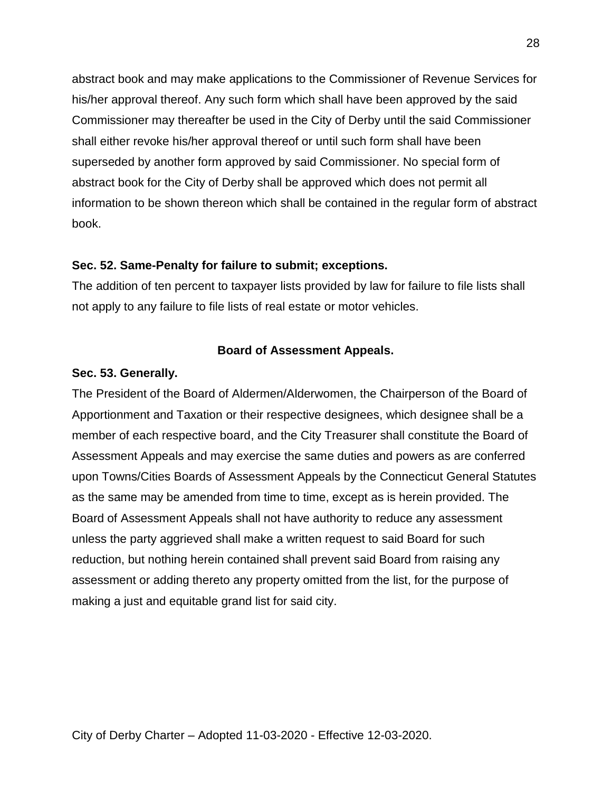abstract book and may make applications to the Commissioner of Revenue Services for his/her approval thereof. Any such form which shall have been approved by the said Commissioner may thereafter be used in the City of Derby until the said Commissioner shall either revoke his/her approval thereof or until such form shall have been superseded by another form approved by said Commissioner. No special form of abstract book for the City of Derby shall be approved which does not permit all information to be shown thereon which shall be contained in the regular form of abstract book.

## **Sec. 52. Same-Penalty for failure to submit; exceptions.**

The addition of ten percent to taxpayer lists provided by law for failure to file lists shall not apply to any failure to file lists of real estate or motor vehicles.

## **Board of Assessment Appeals.**

### **Sec. 53. Generally.**

The President of the Board of Aldermen/Alderwomen, the Chairperson of the Board of Apportionment and Taxation or their respective designees, which designee shall be a member of each respective board, and the City Treasurer shall constitute the Board of Assessment Appeals and may exercise the same duties and powers as are conferred upon Towns/Cities Boards of Assessment Appeals by the Connecticut General Statutes as the same may be amended from time to time, except as is herein provided. The Board of Assessment Appeals shall not have authority to reduce any assessment unless the party aggrieved shall make a written request to said Board for such reduction, but nothing herein contained shall prevent said Board from raising any assessment or adding thereto any property omitted from the list, for the purpose of making a just and equitable grand list for said city.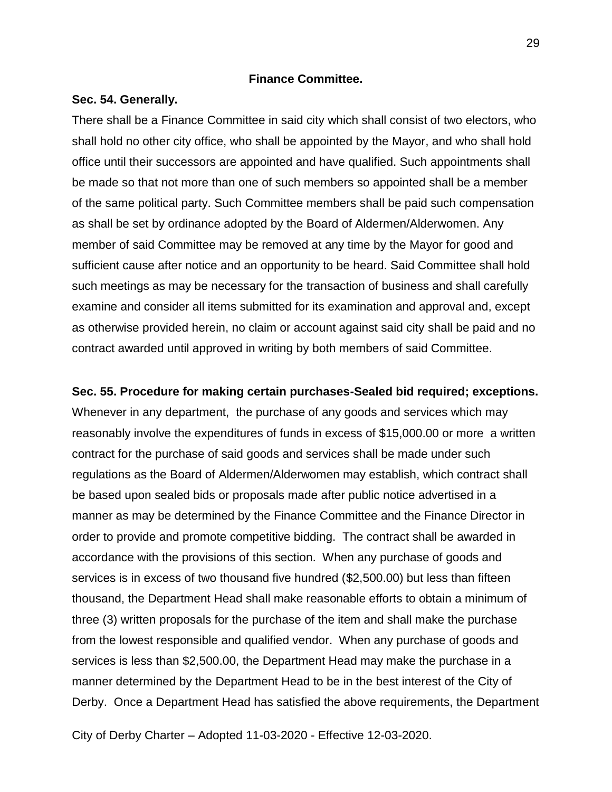## **Finance Committee.**

### **Sec. 54. Generally.**

There shall be a Finance Committee in said city which shall consist of two electors, who shall hold no other city office, who shall be appointed by the Mayor, and who shall hold office until their successors are appointed and have qualified. Such appointments shall be made so that not more than one of such members so appointed shall be a member of the same political party. Such Committee members shall be paid such compensation as shall be set by ordinance adopted by the Board of Aldermen/Alderwomen. Any member of said Committee may be removed at any time by the Mayor for good and sufficient cause after notice and an opportunity to be heard. Said Committee shall hold such meetings as may be necessary for the transaction of business and shall carefully examine and consider all items submitted for its examination and approval and, except as otherwise provided herein, no claim or account against said city shall be paid and no contract awarded until approved in writing by both members of said Committee.

**Sec. 55. Procedure for making certain purchases-Sealed bid required; exceptions.** Whenever in any department, the purchase of any goods and services which may reasonably involve the expenditures of funds in excess of \$15,000.00 or more a written contract for the purchase of said goods and services shall be made under such regulations as the Board of Aldermen/Alderwomen may establish, which contract shall be based upon sealed bids or proposals made after public notice advertised in a manner as may be determined by the Finance Committee and the Finance Director in order to provide and promote competitive bidding. The contract shall be awarded in accordance with the provisions of this section. When any purchase of goods and services is in excess of two thousand five hundred (\$2,500.00) but less than fifteen thousand, the Department Head shall make reasonable efforts to obtain a minimum of three (3) written proposals for the purchase of the item and shall make the purchase from the lowest responsible and qualified vendor. When any purchase of goods and services is less than \$2,500.00, the Department Head may make the purchase in a manner determined by the Department Head to be in the best interest of the City of Derby. Once a Department Head has satisfied the above requirements, the Department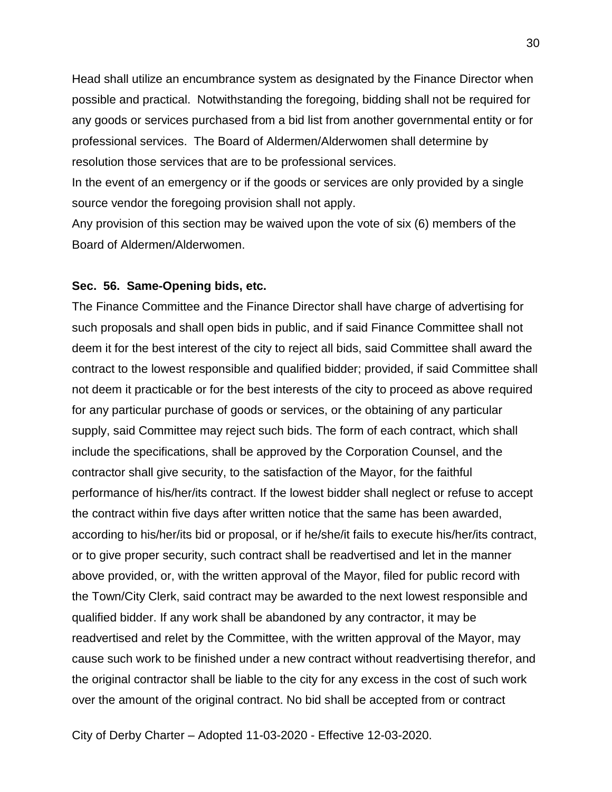Head shall utilize an encumbrance system as designated by the Finance Director when possible and practical. Notwithstanding the foregoing, bidding shall not be required for any goods or services purchased from a bid list from another governmental entity or for professional services. The Board of Aldermen/Alderwomen shall determine by resolution those services that are to be professional services.

In the event of an emergency or if the goods or services are only provided by a single source vendor the foregoing provision shall not apply.

Any provision of this section may be waived upon the vote of six (6) members of the Board of Aldermen/Alderwomen.

### **Sec. 56. Same-Opening bids, etc.**

The Finance Committee and the Finance Director shall have charge of advertising for such proposals and shall open bids in public, and if said Finance Committee shall not deem it for the best interest of the city to reject all bids, said Committee shall award the contract to the lowest responsible and qualified bidder; provided, if said Committee shall not deem it practicable or for the best interests of the city to proceed as above required for any particular purchase of goods or services, or the obtaining of any particular supply, said Committee may reject such bids. The form of each contract, which shall include the specifications, shall be approved by the Corporation Counsel, and the contractor shall give security, to the satisfaction of the Mayor, for the faithful performance of his/her/its contract. If the lowest bidder shall neglect or refuse to accept the contract within five days after written notice that the same has been awarded, according to his/her/its bid or proposal, or if he/she/it fails to execute his/her/its contract, or to give proper security, such contract shall be readvertised and let in the manner above provided, or, with the written approval of the Mayor, filed for public record with the Town/City Clerk, said contract may be awarded to the next lowest responsible and qualified bidder. If any work shall be abandoned by any contractor, it may be readvertised and relet by the Committee, with the written approval of the Mayor, may cause such work to be finished under a new contract without readvertising therefor, and the original contractor shall be liable to the city for any excess in the cost of such work over the amount of the original contract. No bid shall be accepted from or contract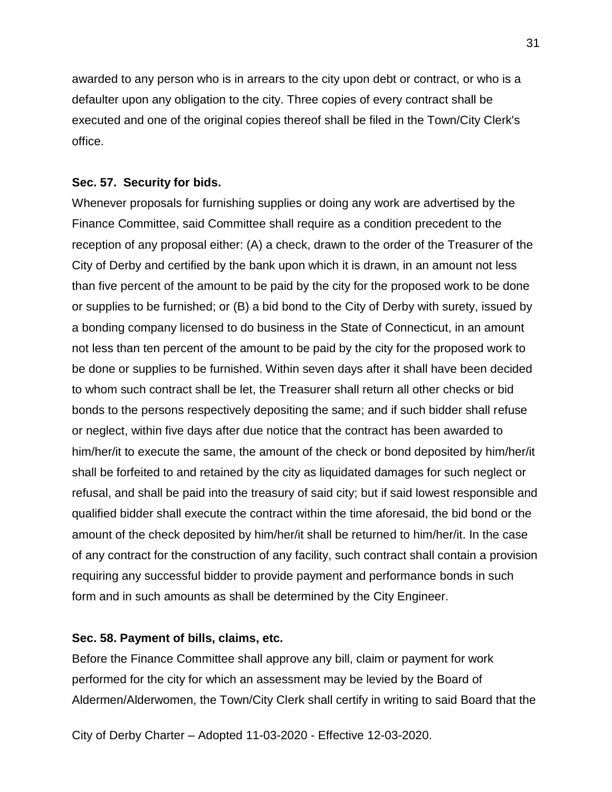awarded to any person who is in arrears to the city upon debt or contract, or who is a defaulter upon any obligation to the city. Three copies of every contract shall be executed and one of the original copies thereof shall be filed in the Town/City Clerk's office.

### **Sec. 57. Security for bids.**

Whenever proposals for furnishing supplies or doing any work are advertised by the Finance Committee, said Committee shall require as a condition precedent to the reception of any proposal either: (A) a check, drawn to the order of the Treasurer of the City of Derby and certified by the bank upon which it is drawn, in an amount not less than five percent of the amount to be paid by the city for the proposed work to be done or supplies to be furnished; or (B) a bid bond to the City of Derby with surety, issued by a bonding company licensed to do business in the State of Connecticut, in an amount not less than ten percent of the amount to be paid by the city for the proposed work to be done or supplies to be furnished. Within seven days after it shall have been decided to whom such contract shall be let, the Treasurer shall return all other checks or bid bonds to the persons respectively depositing the same; and if such bidder shall refuse or neglect, within five days after due notice that the contract has been awarded to him/her/it to execute the same, the amount of the check or bond deposited by him/her/it shall be forfeited to and retained by the city as liquidated damages for such neglect or refusal, and shall be paid into the treasury of said city; but if said lowest responsible and qualified bidder shall execute the contract within the time aforesaid, the bid bond or the amount of the check deposited by him/her/it shall be returned to him/her/it. In the case of any contract for the construction of any facility, such contract shall contain a provision requiring any successful bidder to provide payment and performance bonds in such form and in such amounts as shall be determined by the City Engineer.

## **Sec. 58. Payment of bills, claims, etc.**

Before the Finance Committee shall approve any bill, claim or payment for work performed for the city for which an assessment may be levied by the Board of Aldermen/Alderwomen, the Town/City Clerk shall certify in writing to said Board that the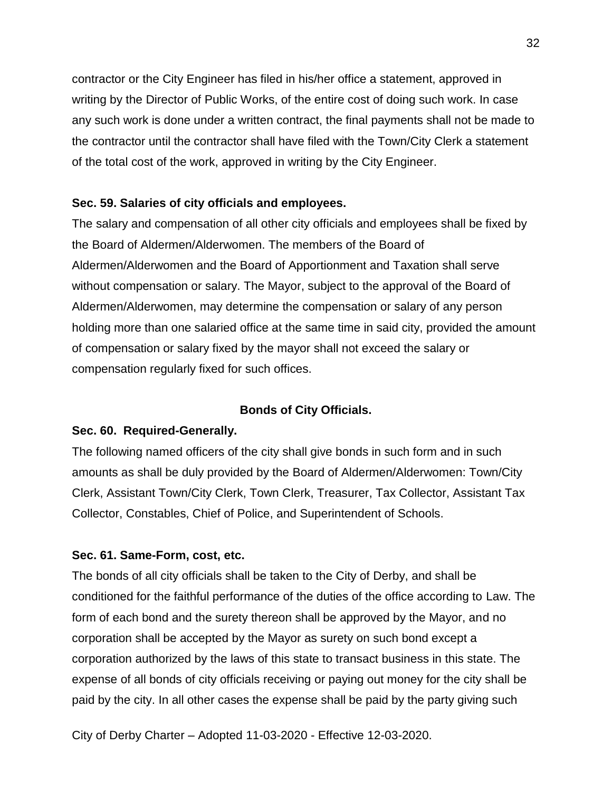contractor or the City Engineer has filed in his/her office a statement, approved in writing by the Director of Public Works, of the entire cost of doing such work. In case any such work is done under a written contract, the final payments shall not be made to the contractor until the contractor shall have filed with the Town/City Clerk a statement of the total cost of the work, approved in writing by the City Engineer.

## **Sec. 59. Salaries of city officials and employees.**

The salary and compensation of all other city officials and employees shall be fixed by the Board of Aldermen/Alderwomen. The members of the Board of Aldermen/Alderwomen and the Board of Apportionment and Taxation shall serve without compensation or salary. The Mayor, subject to the approval of the Board of Aldermen/Alderwomen, may determine the compensation or salary of any person holding more than one salaried office at the same time in said city, provided the amount of compensation or salary fixed by the mayor shall not exceed the salary or compensation regularly fixed for such offices.

## **Bonds of City Officials.**

## **Sec. 60. Required-Generally.**

The following named officers of the city shall give bonds in such form and in such amounts as shall be duly provided by the Board of Aldermen/Alderwomen: Town/City Clerk, Assistant Town/City Clerk, Town Clerk, Treasurer, Tax Collector, Assistant Tax Collector, Constables, Chief of Police, and Superintendent of Schools.

## **Sec. 61. Same-Form, cost, etc.**

The bonds of all city officials shall be taken to the City of Derby, and shall be conditioned for the faithful performance of the duties of the office according to Law. The form of each bond and the surety thereon shall be approved by the Mayor, and no corporation shall be accepted by the Mayor as surety on such bond except a corporation authorized by the laws of this state to transact business in this state. The expense of all bonds of city officials receiving or paying out money for the city shall be paid by the city. In all other cases the expense shall be paid by the party giving such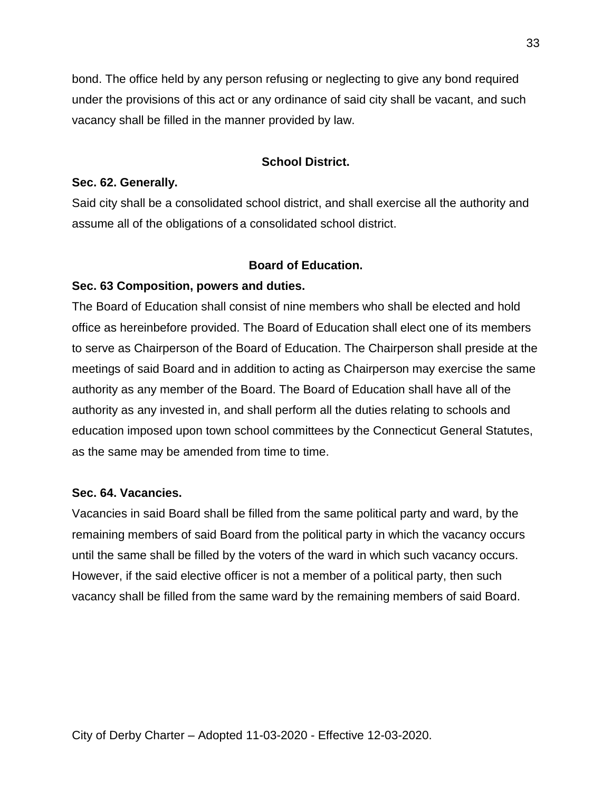bond. The office held by any person refusing or neglecting to give any bond required under the provisions of this act or any ordinance of said city shall be vacant, and such vacancy shall be filled in the manner provided by law.

## **School District.**

## **Sec. 62. Generally.**

Said city shall be a consolidated school district, and shall exercise all the authority and assume all of the obligations of a consolidated school district.

## **Board of Education.**

## **Sec. 63 Composition, powers and duties.**

The Board of Education shall consist of nine members who shall be elected and hold office as hereinbefore provided. The Board of Education shall elect one of its members to serve as Chairperson of the Board of Education. The Chairperson shall preside at the meetings of said Board and in addition to acting as Chairperson may exercise the same authority as any member of the Board. The Board of Education shall have all of the authority as any invested in, and shall perform all the duties relating to schools and education imposed upon town school committees by the Connecticut General Statutes, as the same may be amended from time to time.

## **Sec. 64. Vacancies.**

Vacancies in said Board shall be filled from the same political party and ward, by the remaining members of said Board from the political party in which the vacancy occurs until the same shall be filled by the voters of the ward in which such vacancy occurs. However, if the said elective officer is not a member of a political party, then such vacancy shall be filled from the same ward by the remaining members of said Board.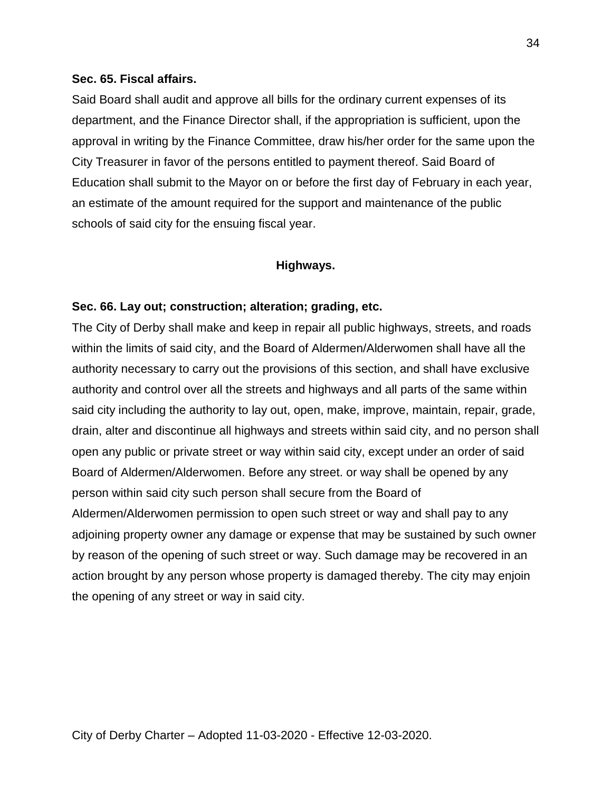## **Sec. 65. Fiscal affairs.**

Said Board shall audit and approve all bills for the ordinary current expenses of its department, and the Finance Director shall, if the appropriation is sufficient, upon the approval in writing by the Finance Committee, draw his/her order for the same upon the City Treasurer in favor of the persons entitled to payment thereof. Said Board of Education shall submit to the Mayor on or before the first day of February in each year, an estimate of the amount required for the support and maintenance of the public schools of said city for the ensuing fiscal year.

## **Highways.**

## **Sec. 66. Lay out; construction; alteration; grading, etc.**

The City of Derby shall make and keep in repair all public highways, streets, and roads within the limits of said city, and the Board of Aldermen/Alderwomen shall have all the authority necessary to carry out the provisions of this section, and shall have exclusive authority and control over all the streets and highways and all parts of the same within said city including the authority to lay out, open, make, improve, maintain, repair, grade, drain, alter and discontinue all highways and streets within said city, and no person shall open any public or private street or way within said city, except under an order of said Board of Aldermen/Alderwomen. Before any street. or way shall be opened by any person within said city such person shall secure from the Board of Aldermen/Alderwomen permission to open such street or way and shall pay to any adjoining property owner any damage or expense that may be sustained by such owner by reason of the opening of such street or way. Such damage may be recovered in an action brought by any person whose property is damaged thereby. The city may enjoin the opening of any street or way in said city.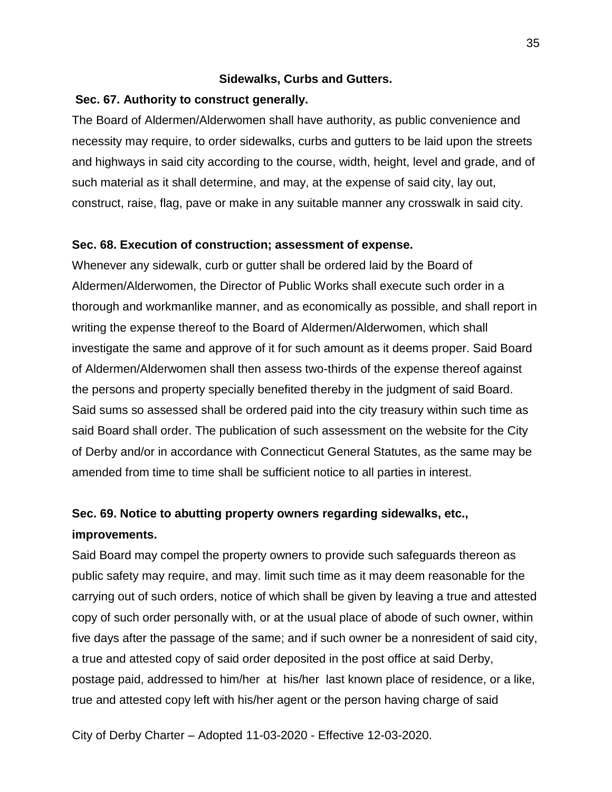## **Sidewalks, Curbs and Gutters.**

## **Sec. 67. Authority to construct generally.**

The Board of Aldermen/Alderwomen shall have authority, as public convenience and necessity may require, to order sidewalks, curbs and gutters to be laid upon the streets and highways in said city according to the course, width, height, level and grade, and of such material as it shall determine, and may, at the expense of said city, lay out, construct, raise, flag, pave or make in any suitable manner any crosswalk in said city.

## **Sec. 68. Execution of construction; assessment of expense.**

Whenever any sidewalk, curb or gutter shall be ordered laid by the Board of Aldermen/Alderwomen, the Director of Public Works shall execute such order in a thorough and workmanlike manner, and as economically as possible, and shall report in writing the expense thereof to the Board of Aldermen/Alderwomen, which shall investigate the same and approve of it for such amount as it deems proper. Said Board of Aldermen/Alderwomen shall then assess two-thirds of the expense thereof against the persons and property specially benefited thereby in the judgment of said Board. Said sums so assessed shall be ordered paid into the city treasury within such time as said Board shall order. The publication of such assessment on the website for the City of Derby and/or in accordance with Connecticut General Statutes, as the same may be amended from time to time shall be sufficient notice to all parties in interest.

# **Sec. 69. Notice to abutting property owners regarding sidewalks, etc.,**

## **improvements.**

Said Board may compel the property owners to provide such safeguards thereon as public safety may require, and may. limit such time as it may deem reasonable for the carrying out of such orders, notice of which shall be given by leaving a true and attested copy of such order personally with, or at the usual place of abode of such owner, within five days after the passage of the same; and if such owner be a nonresident of said city, a true and attested copy of said order deposited in the post office at said Derby, postage paid, addressed to him/her at his/her last known place of residence, or a like, true and attested copy left with his/her agent or the person having charge of said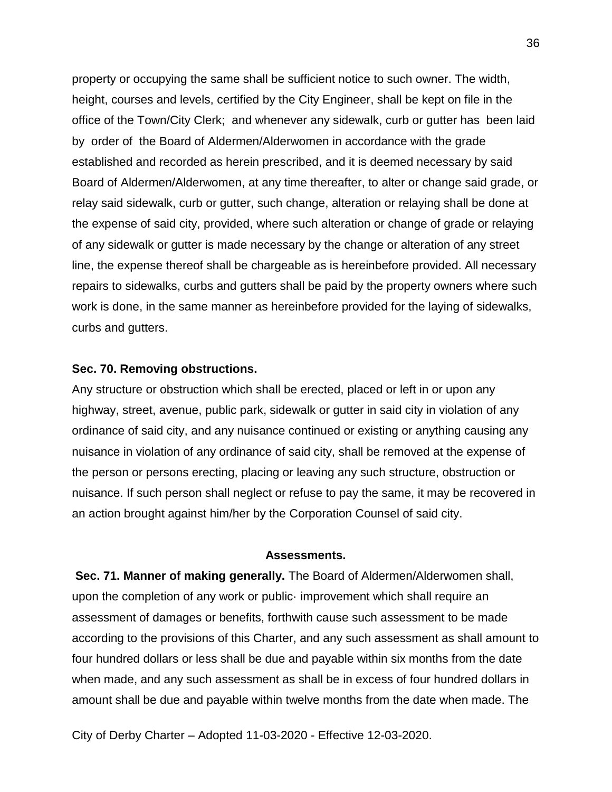property or occupying the same shall be sufficient notice to such owner. The width, height, courses and levels, certified by the City Engineer, shall be kept on file in the office of the Town/City Clerk; and whenever any sidewalk, curb or gutter has been laid by order of the Board of Aldermen/Alderwomen in accordance with the grade established and recorded as herein prescribed, and it is deemed necessary by said Board of Aldermen/Alderwomen, at any time thereafter, to alter or change said grade, or relay said sidewalk, curb or gutter, such change, alteration or relaying shall be done at the expense of said city, provided, where such alteration or change of grade or relaying of any sidewalk or gutter is made necessary by the change or alteration of any street line, the expense thereof shall be chargeable as is hereinbefore provided. All necessary repairs to sidewalks, curbs and gutters shall be paid by the property owners where such work is done, in the same manner as hereinbefore provided for the laying of sidewalks, curbs and gutters.

### **Sec. 70. Removing obstructions.**

Any structure or obstruction which shall be erected, placed or left in or upon any highway, street, avenue, public park, sidewalk or gutter in said city in violation of any ordinance of said city, and any nuisance continued or existing or anything causing any nuisance in violation of any ordinance of said city, shall be removed at the expense of the person or persons erecting, placing or leaving any such structure, obstruction or nuisance. If such person shall neglect or refuse to pay the same, it may be recovered in an action brought against him/her by the Corporation Counsel of said city.

### **Assessments.**

**Sec. 71. Manner of making generally.** The Board of Aldermen/Alderwomen shall, upon the completion of any work or public· improvement which shall require an assessment of damages or benefits, forthwith cause such assessment to be made according to the provisions of this Charter, and any such assessment as shall amount to four hundred dollars or less shall be due and payable within six months from the date when made, and any such assessment as shall be in excess of four hundred dollars in amount shall be due and payable within twelve months from the date when made. The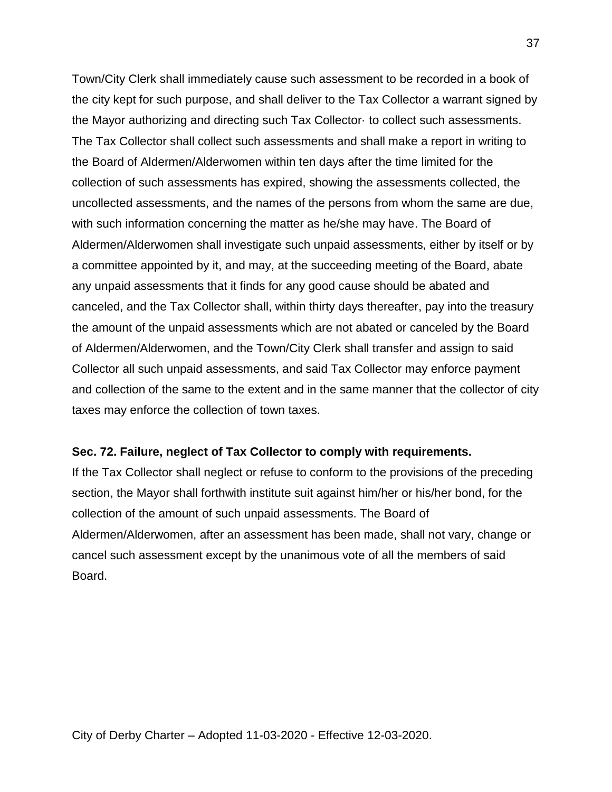Town/City Clerk shall immediately cause such assessment to be recorded in a book of the city kept for such purpose, and shall deliver to the Tax Collector a warrant signed by the Mayor authorizing and directing such Tax Collector· to collect such assessments. The Tax Collector shall collect such assessments and shall make a report in writing to the Board of Aldermen/Alderwomen within ten days after the time limited for the collection of such assessments has expired, showing the assessments collected, the uncollected assessments, and the names of the persons from whom the same are due, with such information concerning the matter as he/she may have. The Board of Aldermen/Alderwomen shall investigate such unpaid assessments, either by itself or by a committee appointed by it, and may, at the succeeding meeting of the Board, abate any unpaid assessments that it finds for any good cause should be abated and canceled, and the Tax Collector shall, within thirty days thereafter, pay into the treasury the amount of the unpaid assessments which are not abated or canceled by the Board of Aldermen/Alderwomen, and the Town/City Clerk shall transfer and assign to said Collector all such unpaid assessments, and said Tax Collector may enforce payment and collection of the same to the extent and in the same manner that the collector of city taxes may enforce the collection of town taxes.

## **Sec. 72. Failure, neglect of Tax Collector to comply with requirements.**

If the Tax Collector shall neglect or refuse to conform to the provisions of the preceding section, the Mayor shall forthwith institute suit against him/her or his/her bond, for the collection of the amount of such unpaid assessments. The Board of Aldermen/Alderwomen, after an assessment has been made, shall not vary, change or cancel such assessment except by the unanimous vote of all the members of said Board.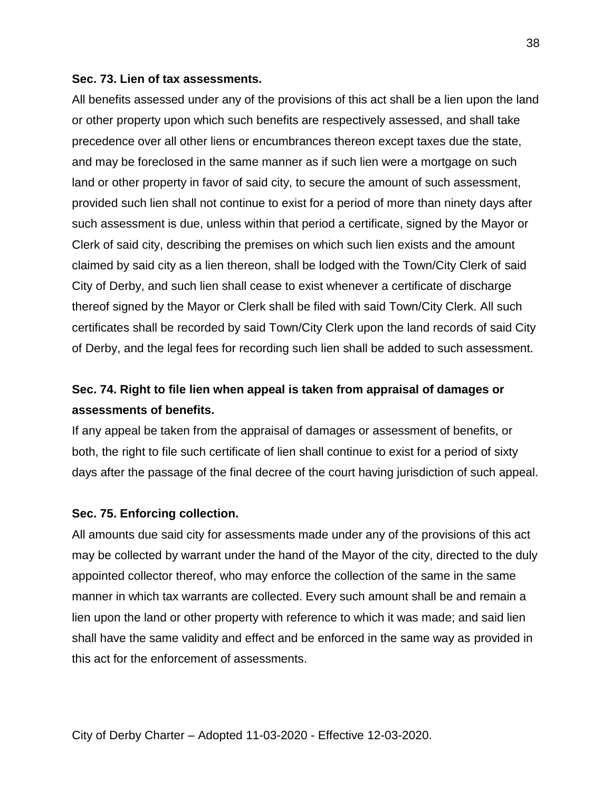### **Sec. 73. Lien of tax assessments.**

All benefits assessed under any of the provisions of this act shall be a lien upon the land or other property upon which such benefits are respectively assessed, and shall take precedence over all other liens or encumbrances thereon except taxes due the state, and may be foreclosed in the same manner as if such lien were a mortgage on such land or other property in favor of said city, to secure the amount of such assessment, provided such lien shall not continue to exist for a period of more than ninety days after such assessment is due, unless within that period a certificate, signed by the Mayor or Clerk of said city, describing the premises on which such lien exists and the amount claimed by said city as a lien thereon, shall be lodged with the Town/City Clerk of said City of Derby, and such lien shall cease to exist whenever a certificate of discharge thereof signed by the Mayor or Clerk shall be filed with said Town/City Clerk. All such certificates shall be recorded by said Town/City Clerk upon the land records of said City of Derby, and the legal fees for recording such lien shall be added to such assessment.

# **Sec. 74. Right to file lien when appeal is taken from appraisal of damages or assessments of benefits.**

If any appeal be taken from the appraisal of damages or assessment of benefits, or both, the right to file such certificate of lien shall continue to exist for a period of sixty days after the passage of the final decree of the court having jurisdiction of such appeal.

## **Sec. 75. Enforcing collection.**

All amounts due said city for assessments made under any of the provisions of this act may be collected by warrant under the hand of the Mayor of the city, directed to the duly appointed collector thereof, who may enforce the collection of the same in the same manner in which tax warrants are collected. Every such amount shall be and remain a lien upon the land or other property with reference to which it was made; and said lien shall have the same validity and effect and be enforced in the same way as provided in this act for the enforcement of assessments.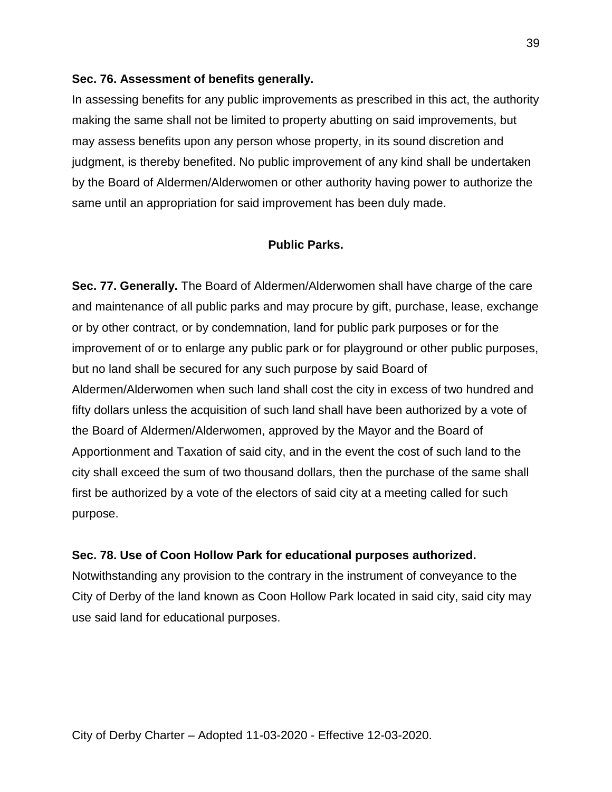## **Sec. 76. Assessment of benefits generally.**

In assessing benefits for any public improvements as prescribed in this act, the authority making the same shall not be limited to property abutting on said improvements, but may assess benefits upon any person whose property, in its sound discretion and judgment, is thereby benefited. No public improvement of any kind shall be undertaken by the Board of Aldermen/Alderwomen or other authority having power to authorize the same until an appropriation for said improvement has been duly made.

## **Public Parks.**

**Sec. 77. Generally.** The Board of Aldermen/Alderwomen shall have charge of the care and maintenance of all public parks and may procure by gift, purchase, lease, exchange or by other contract, or by condemnation, land for public park purposes or for the improvement of or to enlarge any public park or for playground or other public purposes, but no land shall be secured for any such purpose by said Board of Aldermen/Alderwomen when such land shall cost the city in excess of two hundred and fifty dollars unless the acquisition of such land shall have been authorized by a vote of the Board of Aldermen/Alderwomen, approved by the Mayor and the Board of Apportionment and Taxation of said city, and in the event the cost of such land to the city shall exceed the sum of two thousand dollars, then the purchase of the same shall first be authorized by a vote of the electors of said city at a meeting called for such purpose.

## **Sec. 78. Use of Coon Hollow Park for educational purposes authorized.**

Notwithstanding any provision to the contrary in the instrument of conveyance to the City of Derby of the land known as Coon Hollow Park located in said city, said city may use said land for educational purposes.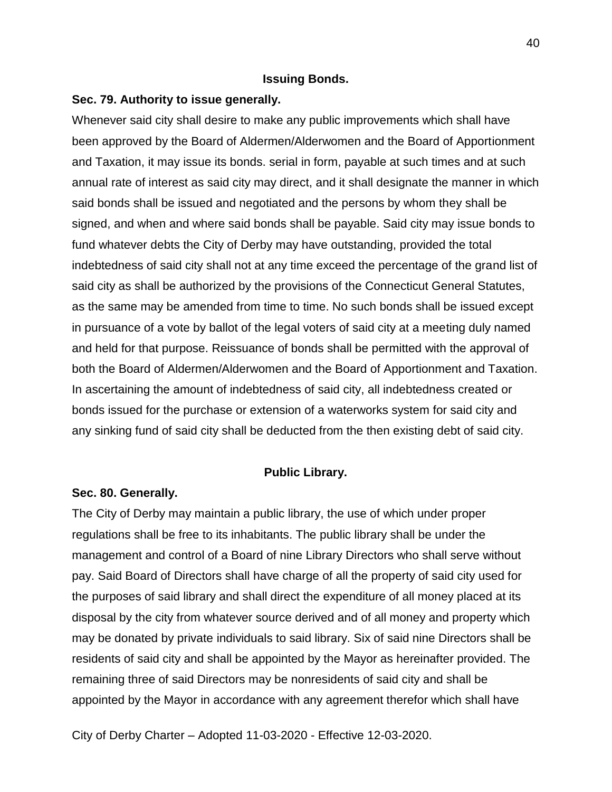## **Issuing Bonds.**

## **Sec. 79. Authority to issue generally.**

Whenever said city shall desire to make any public improvements which shall have been approved by the Board of Aldermen/Alderwomen and the Board of Apportionment and Taxation, it may issue its bonds. serial in form, payable at such times and at such annual rate of interest as said city may direct, and it shall designate the manner in which said bonds shall be issued and negotiated and the persons by whom they shall be signed, and when and where said bonds shall be payable. Said city may issue bonds to fund whatever debts the City of Derby may have outstanding, provided the total indebtedness of said city shall not at any time exceed the percentage of the grand list of said city as shall be authorized by the provisions of the Connecticut General Statutes, as the same may be amended from time to time. No such bonds shall be issued except in pursuance of a vote by ballot of the legal voters of said city at a meeting duly named and held for that purpose. Reissuance of bonds shall be permitted with the approval of both the Board of Aldermen/Alderwomen and the Board of Apportionment and Taxation. In ascertaining the amount of indebtedness of said city, all indebtedness created or bonds issued for the purchase or extension of a waterworks system for said city and any sinking fund of said city shall be deducted from the then existing debt of said city.

### **Public Library.**

### **Sec. 80. Generally.**

The City of Derby may maintain a public library, the use of which under proper regulations shall be free to its inhabitants. The public library shall be under the management and control of a Board of nine Library Directors who shall serve without pay. Said Board of Directors shall have charge of all the property of said city used for the purposes of said library and shall direct the expenditure of all money placed at its disposal by the city from whatever source derived and of all money and property which may be donated by private individuals to said library. Six of said nine Directors shall be residents of said city and shall be appointed by the Mayor as hereinafter provided. The remaining three of said Directors may be nonresidents of said city and shall be appointed by the Mayor in accordance with any agreement therefor which shall have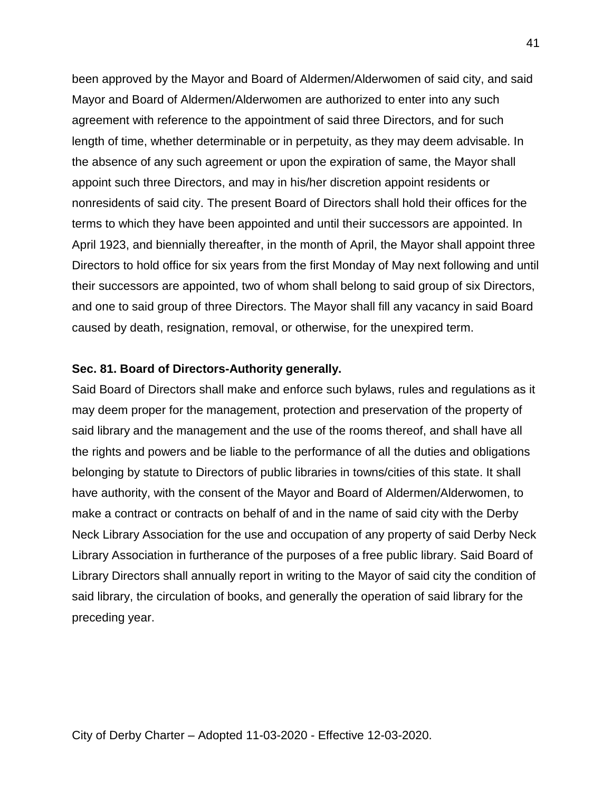been approved by the Mayor and Board of Aldermen/Alderwomen of said city, and said Mayor and Board of Aldermen/Alderwomen are authorized to enter into any such agreement with reference to the appointment of said three Directors, and for such length of time, whether determinable or in perpetuity, as they may deem advisable. In the absence of any such agreement or upon the expiration of same, the Mayor shall appoint such three Directors, and may in his/her discretion appoint residents or nonresidents of said city. The present Board of Directors shall hold their offices for the terms to which they have been appointed and until their successors are appointed. In April 1923, and biennially thereafter, in the month of April, the Mayor shall appoint three Directors to hold office for six years from the first Monday of May next following and until their successors are appointed, two of whom shall belong to said group of six Directors, and one to said group of three Directors. The Mayor shall fill any vacancy in said Board caused by death, resignation, removal, or otherwise, for the unexpired term.

### **Sec. 81. Board of Directors-Authority generally.**

Said Board of Directors shall make and enforce such bylaws, rules and regulations as it may deem proper for the management, protection and preservation of the property of said library and the management and the use of the rooms thereof, and shall have all the rights and powers and be liable to the performance of all the duties and obligations belonging by statute to Directors of public libraries in towns/cities of this state. It shall have authority, with the consent of the Mayor and Board of Aldermen/Alderwomen, to make a contract or contracts on behalf of and in the name of said city with the Derby Neck Library Association for the use and occupation of any property of said Derby Neck Library Association in furtherance of the purposes of a free public library. Said Board of Library Directors shall annually report in writing to the Mayor of said city the condition of said library, the circulation of books, and generally the operation of said library for the preceding year.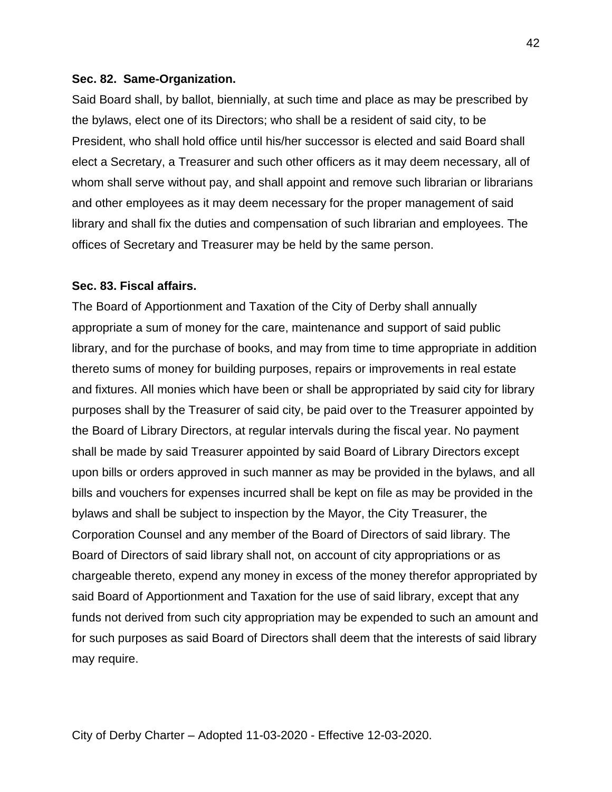### **Sec. 82. Same-Organization.**

Said Board shall, by ballot, biennially, at such time and place as may be prescribed by the bylaws, elect one of its Directors; who shall be a resident of said city, to be President, who shall hold office until his/her successor is elected and said Board shall elect a Secretary, a Treasurer and such other officers as it may deem necessary, all of whom shall serve without pay, and shall appoint and remove such librarian or librarians and other employees as it may deem necessary for the proper management of said library and shall fix the duties and compensation of such librarian and employees. The offices of Secretary and Treasurer may be held by the same person.

### **Sec. 83. Fiscal affairs.**

The Board of Apportionment and Taxation of the City of Derby shall annually appropriate a sum of money for the care, maintenance and support of said public library, and for the purchase of books, and may from time to time appropriate in addition thereto sums of money for building purposes, repairs or improvements in real estate and fixtures. All monies which have been or shall be appropriated by said city for library purposes shall by the Treasurer of said city, be paid over to the Treasurer appointed by the Board of Library Directors, at regular intervals during the fiscal year. No payment shall be made by said Treasurer appointed by said Board of Library Directors except upon bills or orders approved in such manner as may be provided in the bylaws, and all bills and vouchers for expenses incurred shall be kept on file as may be provided in the bylaws and shall be subject to inspection by the Mayor, the City Treasurer, the Corporation Counsel and any member of the Board of Directors of said library. The Board of Directors of said library shall not, on account of city appropriations or as chargeable thereto, expend any money in excess of the money therefor appropriated by said Board of Apportionment and Taxation for the use of said library, except that any funds not derived from such city appropriation may be expended to such an amount and for such purposes as said Board of Directors shall deem that the interests of said library may require.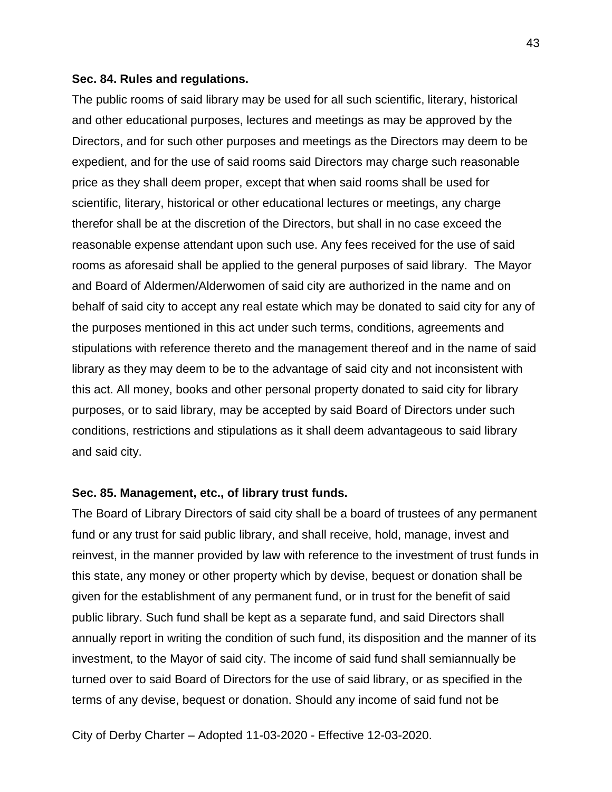### **Sec. 84. Rules and regulations.**

The public rooms of said library may be used for all such scientific, literary, historical and other educational purposes, lectures and meetings as may be approved by the Directors, and for such other purposes and meetings as the Directors may deem to be expedient, and for the use of said rooms said Directors may charge such reasonable price as they shall deem proper, except that when said rooms shall be used for scientific, literary, historical or other educational lectures or meetings, any charge therefor shall be at the discretion of the Directors, but shall in no case exceed the reasonable expense attendant upon such use. Any fees received for the use of said rooms as aforesaid shall be applied to the general purposes of said library. The Mayor and Board of Aldermen/Alderwomen of said city are authorized in the name and on behalf of said city to accept any real estate which may be donated to said city for any of the purposes mentioned in this act under such terms, conditions, agreements and stipulations with reference thereto and the management thereof and in the name of said library as they may deem to be to the advantage of said city and not inconsistent with this act. All money, books and other personal property donated to said city for library purposes, or to said library, may be accepted by said Board of Directors under such conditions, restrictions and stipulations as it shall deem advantageous to said library and said city.

## **Sec. 85. Management, etc., of library trust funds.**

The Board of Library Directors of said city shall be a board of trustees of any permanent fund or any trust for said public library, and shall receive, hold, manage, invest and reinvest, in the manner provided by law with reference to the investment of trust funds in this state, any money or other property which by devise, bequest or donation shall be given for the establishment of any permanent fund, or in trust for the benefit of said public library. Such fund shall be kept as a separate fund, and said Directors shall annually report in writing the condition of such fund, its disposition and the manner of its investment, to the Mayor of said city. The income of said fund shall semiannually be turned over to said Board of Directors for the use of said library, or as specified in the terms of any devise, bequest or donation. Should any income of said fund not be